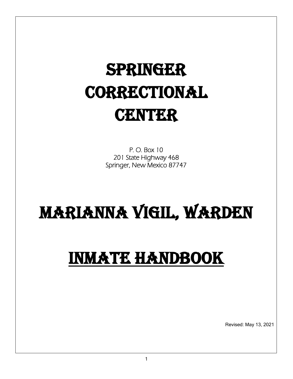# Springer **CORRECTIONAL CENTER**

**handbook** 

P. O. Box 10 201 State Highway 468 Springer, New Mexico 87747

# Marianna Vigil, Warden

## Inmate Handbook

Revised: May 13, 2021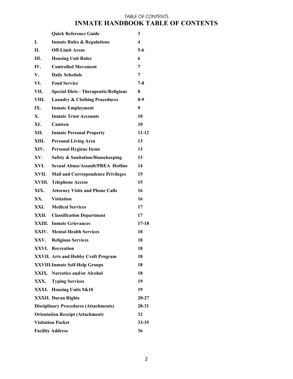## TABLE OF CONTENTS **INMATE HANDBOOK TABLE OF CONTENTS**

|                                       | <b>Quick Reference Guide</b>                  | 3         |  |
|---------------------------------------|-----------------------------------------------|-----------|--|
| L.                                    | <b>Inmate Rules &amp; Regulations</b>         | 4         |  |
| II.                                   | <b>Off-Limit Areas</b>                        | $5-6$     |  |
| Ш.                                    | <b>Housing Unit Rules</b>                     | 6         |  |
| IV.                                   | <b>Controlled Movement</b>                    | 7         |  |
| V.                                    | <b>Daily Schedule</b>                         | 7         |  |
| VI.                                   | <b>Food Service</b>                           | $7 - 8$   |  |
| VII.                                  | <b>Special Diets - Therapeutic/Religious</b>  | 8         |  |
| VIII.                                 | <b>Laundry &amp; Clothing Procedures</b>      | $8-9$     |  |
| IX.                                   | <b>Inmate Employment</b>                      | 9         |  |
| X.                                    | <b>Inmate Trust Accounts</b>                  | 10        |  |
| XI.                                   | Canteen                                       | 10        |  |
| XII.                                  | <b>Inmate Personal Property</b>               | $11 - 12$ |  |
| XIII.                                 | <b>Personal Living Area</b>                   | 13        |  |
| XIV.                                  | <b>Personal Hygiene Items</b>                 | 13        |  |
| XV.                                   | <b>Safety &amp; Sanitation/Housekeeping</b>   | 13        |  |
| XVI.                                  | <b>Sexual Abuse/Assault/PREA Hotline</b>      | 14        |  |
| XVII.                                 | <b>Mail and Correspondence Privileges</b>     | 15        |  |
| XVIII.                                | <b>Telephone Access</b>                       | 15        |  |
| XIX.                                  | <b>Attorney Visits and Phone Calls</b>        | 16        |  |
| XX.                                   | <b>Visitation</b>                             | 16        |  |
| XXI.                                  | <b>Medical Services</b>                       | 17        |  |
| XXII.                                 | <b>Classification Department</b>              | 17        |  |
|                                       | <b>XXIII.</b> Inmate Grievances               | $17 - 18$ |  |
|                                       | <b>XXIV.</b> Mental Health Services           | 18        |  |
| XXV.                                  | <b>Religious Services</b>                     | 18        |  |
|                                       | <b>XXVI.</b> Recreation                       | 18        |  |
|                                       | <b>XXVII. Arts and Hobby Craft Program</b>    | 18        |  |
|                                       | <b>XXVIII.Inmate Self-Help Groups</b>         | 18        |  |
|                                       | <b>XXIX.</b> Narcotics and/or Alcohol         | 18        |  |
| XXX.                                  | <b>Typing Services</b>                        | 19        |  |
| XXXI.                                 | Housing Units 9&10                            | 19        |  |
|                                       | <b>XXXII.</b> Duran Rights                    | $20 - 27$ |  |
|                                       | <b>Disciplinary Procedures (Attachments)</b>  | 28-31     |  |
|                                       | <b>Orientation Receipt (Attachment)</b><br>32 |           |  |
| <b>Visitation Packet</b><br>$33 - 35$ |                                               |           |  |
| 36<br><b>Facility Address</b>         |                                               |           |  |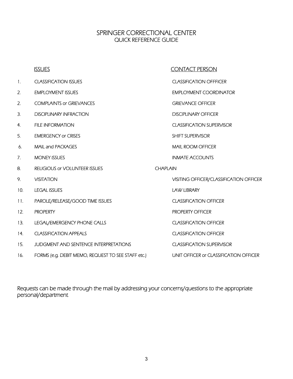## SPRINGER CORRECTIONAL CENTER QUICK REFERENCE GUIDE

|     | <b>ISSUES</b>                                      |                 | <b>CONTACT PERSON</b>                          |
|-----|----------------------------------------------------|-----------------|------------------------------------------------|
| 1.  | <b>CLASSIFICATION ISSUES</b>                       |                 | <b>CLASSIFICATION OFFFICER</b>                 |
| 2.  | <b>EMPLOYMENT ISSUES</b>                           |                 | <b>EMPLOYMENT COORDINATOR</b>                  |
| 2.  | <b>COMPLAINTS or GRIEVANCES</b>                    |                 | <b>GRIEVANCE OFFICER</b>                       |
| 3.  | <b>DISCIPLINARY INFRACTION</b>                     |                 | <b>DISCIPLINARY OFFICER</b>                    |
| 4.  | <b>FILE INFORMATION</b>                            |                 | <b>CLASSIFICATION SUPERVISOR</b>               |
| 5.  | <b>EMERGENCY or CRISES</b>                         |                 | SHIFT SUPERVISOR                               |
| 6.  | MAIL and PACKAGES                                  |                 | <b>MAIL ROOM OFFICER</b>                       |
| 7.  | <b>MONEY ISSUES</b>                                |                 | <b>INMATE ACCOUNTS</b>                         |
| 8.  | <b>RELIGIOUS or VOLUNTEER ISSUES</b>               | <b>CHAPLAIN</b> |                                                |
| 9.  | <b>VISITATION</b>                                  |                 | <b>VISITING OFFICER/CLASSIFICATION OFFICER</b> |
| 10. | <b>LEGAL ISSUES</b>                                |                 | <b>LAW LIBRARY</b>                             |
| 11. | PAROLE/RELEASE/GOOD TIME ISSUES                    |                 | <b>CLASSIFICATION OFFICER</b>                  |
| 12. | <b>PROPERTY</b>                                    |                 | <b>PROPERTY OFFICER</b>                        |
| 13. | LEGAL/EMERGENCY PHONE CALLS                        |                 | <b>CLASSIFICATION OFFICER</b>                  |
| 14. | <b>CLASSIFICATION APPEALS</b>                      |                 | <b>CLASSIFICATION OFFICER</b>                  |
| 15. | JUDGMENT AND SENTENCE INTERPRETATIONS              |                 | <b>CLASSIFICATION SUPERVISOR</b>               |
| 16. | FORMS (e.g. DEBIT MEMO, REQUEST TO SEE STAFF etc.) |                 | UNIT OFFICER or CLASSIFICATION OFFICER         |

Requests can be made through the mail by addressing your concerns/questions to the appropriate personal/department.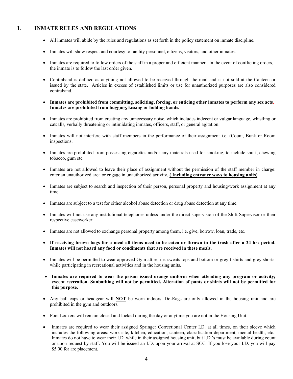## **I. INMATE RULES AND REGULATIONS**

- All inmates will abide by the rules and regulations as set forth in the policy statement on inmate discipline.
- Inmates will show respect and courtesy to facility personnel, citizens, visitors, and other inmates.
- Inmates are required to follow orders of the staff in a proper and efficient manner. In the event of conflicting orders, the inmate is to follow the last order given.
- Contraband is defined as anything not allowed to be received through the mail and is not sold at the Canteen or issued by the state. Articles in excess of established limits or use for unauthorized purposes are also considered contraband.
- **Inmates are prohibited from committing, soliciting, forcing, or enticing other inmates to perform any sex acts. Inmates are prohibited from hugging, kissing or holding hands.**
- Inmates are prohibited from creating any unnecessary noise, which includes indecent or vulgar language, whistling or catcalls, verbally threatening or intimidating inmates, officers, staff, or general agitation.
- Inmates will not interfere with staff members in the performance of their assignment i.e. (Count, Bunk or Room inspections.
- Inmates are prohibited from possessing cigarettes and/or any materials used for smoking, to include snuff, chewing tobacco, gum etc.
- Inmates are not allowed to leave their place of assignment without the permission of the staff member in charge: enter an unauthorized area or engage in unauthorized activity. **( Including entrance ways to housing units)**
- Inmates are subject to search and inspection of their person, personal property and housing/work assignment at any time.
- Inmates are subject to a test for either alcohol abuse detection or drug abuse detection at any time.
- Inmates will not use any institutional telephones unless under the direct supervision of the Shift Supervisor or their respective caseworker.
- Inmates are not allowed to exchange personal property among them, i.e. give, borrow, loan, trade, etc.
- **If receiving brown bags for a meal all items need to be eaten or thrown in the trash after a 24 hrs period. Inmates will not hoard any food or condiments that are received in these meals.**
- Inmates will be permitted to wear approved Gym attire, i.e. sweats tops and bottom or grey t-shirts and grey shorts while participating in recreational activities and in the housing units.
- **Inmates are required to wear the prison issued orange uniform when attending any program or activity; except recreation. Sunbathing will not be permitted. Alteration of pants or shirts will not be permitted for this purpose.**
- Any ball caps or headgear will **NOT** be worn indoors. Do-Rags are only allowed in the housing unit and are prohibited in the gym and outdoors.
- Foot Lockers will remain closed and locked during the day or anytime you are not in the Housing Unit.
- Inmates are required to wear their assigned Springer Correctional Center I.D. at all times, on their sleeve which includes the following areas: work-site, kitchen, education, canteen, classification department, mental health, etc. Inmates do not have to wear their I.D. while in their assigned housing unit, but I.D.'s must be available during count or upon request by staff. You will be issued an I.D. upon your arrival at SCC. If you lose your I.D. you will pay \$5.00 for are placement.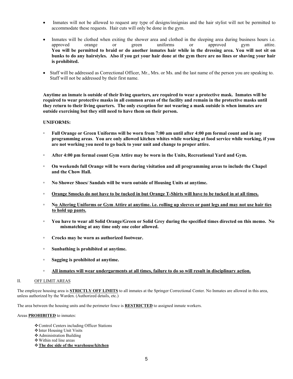- Inmates will not be allowed to request any type of designs/insignias and the hair stylist will not be permitted to accommodate these requests. Hair cuts will only be done in the gym.
- Inmates will be clothed when exiting the shower area and clothed in the sleeping area during business hours i.e. approved orange or green uniforms or approved gym attire. **You will be permitted to braid or do another inmates hair while in the dressing area. You will not sit on bunks to do any hairstyles. Also if you get your hair done at the gym there are no lines or shaving your hair is prohibited.**
- Staff will be addressed as Correctional Officer, Mr., Mrs. or Ms. and the last name of the person you are speaking to. Staff will not be addressed by their first name.

**Anytime an inmate is outside of their living quarters, are required to wear a protective mask. Inmates will be required to wear protective masks in all common areas of the facility and remain in the protective masks until they return to their living quarters. The only exception for not wearing a mask outside is when inmates are outside exercising but they still need to have them on their person.**

#### **UNIFORMS:**

- **Full Orange or Green Uniforms will be worn from 7:00 am until after 4:00 pm formal count and in any programming areas**. **You are only allowed kitchen whites while working at food service while working, if you are not working you need to go back to your unit and change to proper attire.**
- **After 4:00 pm formal count Gym Attire may be worn in the Units, Recreational Yard and Gym.**
- **On weekends full Orange will be worn during visitation and all programming areas to include the Chapel and the Chow Hall.**
- **No Shower Shoes/ Sandals will be worn outside of Housing Units at anytime.**
- **Orange Smocks do not have to be tucked in but Orange T-Shirts will have to be tucked in at all times.**
- **No Altering Uniforms or Gym Attire at anytime. i.e. rolling up sleeves or pant legs and may not use hair ties to hold up pants.**
- **You have to wear all Solid Orange/Green or Solid Grey during the specified times directed on this memo. No mismatching at any time only one color allowed.**
- **Crocks may be worn as authorized footwear.**
- **Sunbathing is prohibited at anytime.**
- **Sagging is prohibited at anytime.**
- **All inmates will wear undergarments at all times, failure to do so will result in disciplinary action.**

#### II. OFF LIMIT AREAS

The employee housing area is **STRICTLY OFF LIMITS** to all inmates at the Springer Correctional Center. No Inmates are allowed in this area, unless authorized by the Warden. (Authorized details, etc.)

The area between the housing units and the perimeter fence is **RESTRICTED** to assigned inmate workers.

Areas **PROHIBITED** to inmates:

- Control Centers including Officer Stations
- ❖ Inter Housing Unit Visits
- Administration Building
- Within red line areas
- **The doc side of the warehouse/kitchen**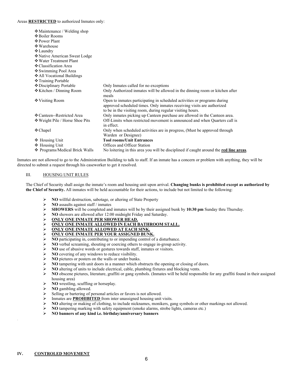#### Areas **RESTRICTED** to authorized Inmates only:

| ❖ Maintenance / Welding shop<br>❖ Boiler Rooms<br>❖ Power Plant<br>❖ Warehouse<br>$\triangle$ Laundry<br>❖ Native American Sweat Lodge<br>❖ Water Treatment Plant<br>❖ Classification Area<br>❖ Swimming Pool Area<br>❖ All Vocational Buildings<br>❖ Training Portable |                                                                                                                                                                                                                  |
|-------------------------------------------------------------------------------------------------------------------------------------------------------------------------------------------------------------------------------------------------------------------------|------------------------------------------------------------------------------------------------------------------------------------------------------------------------------------------------------------------|
| ❖ Disciplinary Portable                                                                                                                                                                                                                                                 | Only Inmates called for no exceptions                                                                                                                                                                            |
| ❖ Kitchen / Dinning Room                                                                                                                                                                                                                                                | Only Authorized inmates will be allowed in the dinning room or kitchen after<br>meals                                                                                                                            |
| ❖ Visiting Room                                                                                                                                                                                                                                                         | Open to inmates participating in scheduled activities or programs during<br>approved scheduled times. Only inmates receiving visits are authorized<br>to be in the visiting room, during regular visiting hours. |
| ❖ Canteen--Restricted Area                                                                                                                                                                                                                                              | Only inmates picking up Canteen purchase are allowed in the Canteen area.                                                                                                                                        |
| ❖ Weight Pile / Horse Shoe Pits                                                                                                                                                                                                                                         | Off-Limits when restricted movement is announced and when Quarters call is<br>in effect.                                                                                                                         |
| $\triangle$ Chapel                                                                                                                                                                                                                                                      | Only when scheduled activities are in progress, (Must be approved through<br>Warden or Designee)                                                                                                                 |
| ❖ Housing Unit<br>❖ Housing Unit                                                                                                                                                                                                                                        | <b>Tool rooms/Unit Entrances</b><br>Offices and Officer Station                                                                                                                                                  |
| ❖ Programs/Medical Brick Walls                                                                                                                                                                                                                                          | No loitering in this area you will be disciplined if caught around the <b>red line areas</b> .                                                                                                                   |

Inmates are not allowed to go to the Administration Building to talk to staff. If an inmate has a concern or problem with anything, they will be directed to submit a request through his caseworker to get it resolved.

#### III. HOUSING UNIT RULES

The Chief of Security shall assign the inmate's room and housing unit upon arrival. **Changing bunks is prohibited except as authorized by the Chief of Security.** All inmates will be held accountable for their actions, to include but not limited to the following:

- **NO** willful destruction, sabotage, or altering of State Property<br> **NO** assaults against staff / inmates
- **NO** assaults against staff / inmates
- **SHOWERS** will be completed and inmates will be by their assigned bunk by **10:30 pm** Sunday thru Thursday.
- **NO** showers are allowed after 12:00 midnight Friday and Saturday.<br> **NO SONG YONG INMATE PER SHOWER HEAD.**
- **ONLY ONE INMATE PER SHOWER HEAD.**
- $\triangleright \quad \overline{\text{ONLY ONE INMATE ALLOWED IN EACH BATHROM STALL.}}$
- **ONLY ONE INMATE ALLOWED AT EACH SINK.**<br> **ONLY ONE INMATE PER YOUR ASSIGNED BUNI**
- **ONLY ONE INMATE PER YOUR ASSIGNED BUNK.**<br> **NO** participating in, contributing to or impending control of
- **NO** participating in, contributing to or impending control of a disturbance.<br> **NO** verbal screaming, shouting or coercing others to engage in-group active
- $\triangleright$  **NO** verbal screaming, shouting or coercing others to engage in-group activity.<br> $\triangleright$  **NO** use of abusive words or gestures towards staff, inmates or visitors.
- in NO use of abusive words or gestures towards staff, inmates or visitors.<br>
► NO covering of any windows to reduce visibility.
- **NO** covering of any windows to reduce visibility.
- **NO** pictures or posters on the walls or under bunks.
- **EXECUTE:** NO tampering with unit doors in a manner which obstructs the opening or closing of doors.
- **NO** altering of units to include electrical, cable, plumbing fixtures and blocking vents.<br>
NO obscene pictures, literature, graffiti or gang symbols. (Inmates will be held responently
- **NO** obscene pictures, literature, graffiti or gang symbols. (Inmates will be held responsible for any graffiti found in their assigned housing area)
- **NO** wrestling, scuffling or horseplay.
- $\triangleright$  **NO** gambling allowed.<br> $\triangleright$  Selling or bartering of i
- $\triangleright$  Selling or bartering of personal articles or favors is not allowed.<br> $\triangleright$  Inmates are **PROHIBITED** from inter unassigned housing unit
- Inmates are **PROHIBITED** from inter unassigned housing unit visits.<br>  $\triangleright$  **NO** altering or making of clothing to include nicknames monikers go
- **NO** altering or making of clothing, to include nicknames, monikers, gang symbols or other markings not allowed.
- **NO** tampering marking with safety equipment (smoke alarms, strobe lights, cameras etc.)
- **NO banners of any kind i.e. birthday/anniversary banners**

.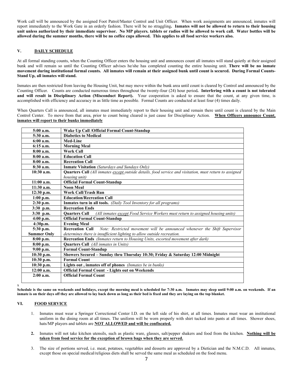Work call will be announced by the assigned Foot Patrol/Master Control and Unit Officer. When work assignments are announced, inmates will report immediately to the Work Gate in an orderly fashion. There will be no straggling**. Inmates will not be allowed to return to their housing unit unless authorized by their immediate supervisor. No MP players. tablets or radios will be allowed to work call. Water bottles will be allowed during the summer months, there will be no coffee cups allowed. This applies to all food service workers also.** 

#### **V. DAILY SCHEDULE**

At all formal standing counts, when the Counting Officer enters the housing unit and announces count all inmates will stand quietly at their assigned bunk and will remain so until the Counting Officer advises he/she has completed counting the entire housing unit. **There will be no inmate movement during institutional formal counts. All inmates will remain at their assigned bunk until count is secured. During Formal Counts-Stand Up, all inmates will stand.** 

Inmates are then restricted from leaving the Housing Unit, but may move within the bunk area until count is cleared by Control and announced by the Counting Officer. Counts are conducted numerous times throughout the twenty-four (24) hour period**. Interfering with a count is not tolerated and will result in Disciplinary Action (Misconduct Report).** Your cooperation is asked to ensure that the count, at any given time, is accomplished with efficiency and accuracy in as little time as possible. Formal Counts are conducted at least four (4) times daily.

When Quarters Call is announced, all inmates must immediately report to their housing unit and remain there until count is cleared by the Main Control Center. To move from that area, prior to count being cleared is just cause for Disciplinary Action. **When Officers announce Count, inmates will report to their bunks immediately**

| 5:00 a.m.          | Wake Up Call /Official Formal Count-Standup                                                             |
|--------------------|---------------------------------------------------------------------------------------------------------|
| $5:30$ a.m.        | <b>Diabetics to Medical</b>                                                                             |
| 6:00a.m.           | Med-Line                                                                                                |
| $6:15$ a.m.        | <b>Morning Meal</b>                                                                                     |
| 8:00a.m.           | <b>Work Call</b>                                                                                        |
| 8:00a.m.           | <b>Education Call</b>                                                                                   |
| 8:00a.m.           | <b>Recreation Call</b>                                                                                  |
| $8:30$ a.m.        | <b>Inmate Visitation</b> (Saturdays and Sundays Only)                                                   |
| $10:30$ a.m.       | Quarters Call (All inmates except outside details, food service and visitation, must return to assigned |
|                    | housing unit)                                                                                           |
| $11:00$ a.m.       | <b>Official Formal Count-Standup</b>                                                                    |
| $11:30$ a.m.       | <b>Noon Meal</b>                                                                                        |
| $12:30$ p.m.       | <b>Work Call/Trash Run</b>                                                                              |
| $1:00$ p.m.        | <b>Education/Recreation Call</b>                                                                        |
| $2:30$ p.m.        | Inmates turn in all tools. (Daily Tool Inventory for all programs)                                      |
| $3:30$ p.m.        | <b>Recreation Ends</b>                                                                                  |
| $3:30$ p.m.        | <b>Ouarters Call</b><br>(All inmates except Food Service Workers must return to assigned housing units) |
| $4:00$ p.m.        | <b>Official Formal Count-Standup</b>                                                                    |
| 4:30p.m.           | <b>Evening Meal</b>                                                                                     |
| 5:30 p.m.          | <b>Recreation Call</b><br>Note: Restricted movement will be announced whenever the Shift Supervisor     |
| <b>Summer Only</b> | determines there is insufficient lighting to allow outside recreation.                                  |
| $8:00$ p.m.        | Recreation Ends (Inmates return to Housing Units, escorted movement after dark)                         |
| $8:00$ p.m.        | <b>Quarters Call</b> (All inmates in Units)                                                             |
| $9:00$ p.m.        | <b>Formal Count-Standup</b>                                                                             |
| 10:30 p.m.         | Showers Secured - Sunday thru Thursday 10:30; Friday & Saturday 12:00 Midnight                          |
| $10:30$ p.m.       | <b>Formal Count</b>                                                                                     |
| $10:30$ p.m.       | Lights out, inmates off of phones (Inmates be in bunks)                                                 |
| $12:00$ a.m.       | <b>Official Formal Count - Lights out on Weekends</b>                                                   |
| $2:00$ a.m.        | <b>Official Formal Count</b>                                                                            |
|                    |                                                                                                         |

**Schedule is the same on weekends and holidays, except the morning meal is scheduled for 7:30 a.m. Inmates may sleep until 9:00 a.m. on weekends. If an inmate is on their days off they are allowed to lay back down as long as their bed is fixed and they are laying on the top blanket.** 

#### **VI. FOOD SERVICE**

x

- 1. Inmates must wear a Springer Correctional Center I.D. on the left side of his shirt, at all times. Inmates must wear an institutional uniform in the dining room at all times. The uniform will be worn properly with shirt tucked into pants at all times. Shower shoes, hats/MP players and tablets are **NOT ALLOWED and will be confiscated.**
- **2.** Inmates will not take kitchen utensils, such as plastic ware, glasses, salt/pepper shakers and food from the kitchen. **Nothing will be taken from food service for the exception of brown bags when they are served.**
- 3. The size of portions served, i.e. meat, potatoes, vegetables and desserts are approved by a Dietician and the N.M.C.D. All inmates, except those on special medical/religious diets shall be served the same meal as scheduled on the food menu.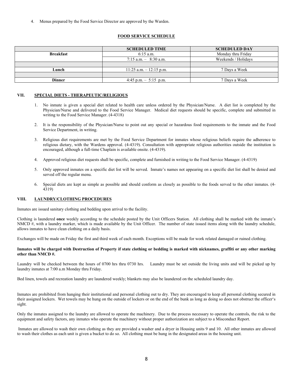4. Menus prepared by the Food Service Director are approved by the Warden.

#### **FOOD SERVICE SCHEDULE**

|                  | <b>SCHEDULED TIME</b>      | <b>SCHEDULED DAY</b> |  |
|------------------|----------------------------|----------------------|--|
| <b>Breakfast</b> | $6:15$ a.m.                | Monday thru Friday   |  |
|                  | $7:15$ a.m. $-$ 8:30 a.m.  | Weekends / Holidays  |  |
|                  |                            |                      |  |
| Lunch            | $11:25$ a.m. $-12:15$ p.m. | 7 Days a Week        |  |
|                  |                            |                      |  |
| Dinner           | 4:45 p.m. $-$ 5:15 p.m.    | 7 Days a Week        |  |

#### **VII. SPECIAL DIETS - THERAPEUTIC/RELIGIOUS**

- 1. No inmate is given a special diet related to health care unless ordered by the Physician/Nurse. A diet list is completed by the Physician/Nurse and delivered to the Food Service Manager. Medical diet requests should be specific, complete and submitted in writing to the Food Service Manager. (4-4318)
- 2. It is the responsibility of the Physician/Nurse to point out any special or hazardous food requirements to the inmate and the Food Service Department, in writing.
- 3. Religious diet requirements are met by the Food Service Department for inmates whose religious beliefs require the adherence to religious dietary, with the Wardens approval. (4-4319). Consultation with appropriate religious authorities outside the institution is encouraged, although a full-time Chaplain is available onsite. (4-4319).
- 4. Approved religious diet requests shall be specific, complete and furnished in writing to the Food Service Manager. (4-4319)
- 5. Only approved inmates on a specific diet list will be served. Inmate's names not appearing on a specific diet list shall be denied and served off the regular menu.
- 6. Special diets are kept as simple as possible and should conform as closely as possible to the foods served to the other inmates. (4- 4319)

#### **VIII. LAUNDRY/CLOTHING PROCEDURES**

Inmates are issued sanitary clothing and bedding upon arrival to the facility.

Clothing is laundered **once** weekly according to the schedule posted by the Unit Officers Station. All clothing shall be marked with the inmate's NMCD #, with a laundry marker, which is made available by the Unit Officer. The number of state issued items along with the laundry schedule, allows inmates to have clean clothing on a daily basis.

Exchanges will be made on Friday the first and third week of each month. Exceptions will be made for work related damaged or ruined clothing.

#### **Inmates will be charged with Destruction of Property if state clothing or bedding is marked with nicknames, graffiti or any other marking other than NMCD #.**

Laundry will be checked between the hours of 0700 hrs thru 0730 hrs. Laundry must be set outside the living units and will be picked up by laundry inmates at 7:00 a.m Monday thru Friday.

Bed linen, towels and recreation laundry are laundered weekly; blankets may also be laundered on the scheduled laundry day.

Inmates are prohibited from hanging their institutional and personal clothing out to dry. They are encouraged to keep all personal clothing secured in their assigned lockers. Wet towels may be hung on the outside of lockers or on the end of the bunk as long as doing so does not obstruct the officer's sight.

Only the inmates assigned to the laundry are allowed to operate the machinery. Due to the process necessary to operate the controls, the risk to the equipment and safety factors, any inmates who operate the machinery without proper authorization are subject to a Misconduct Report.

Inmates are allowed to wash their own clothing as they are provided a washer and a dryer in Housing units 9 and 10. All other inmates are allowed to wash their clothes as each unit is given a bucket to do so. All clothing must be hung in the designated areas in the housing unit.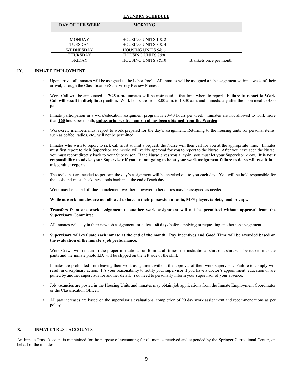#### **LAUNDRY SCHEDULE**

| DAY OF THE WEEK  | <b>MORNING</b>                |                         |
|------------------|-------------------------------|-------------------------|
|                  |                               |                         |
| <b>MONDAY</b>    | HOUSING UNITS 1 & 2           |                         |
| <b>TUESDAY</b>   | HOUSING UNITS $3 & 4$         |                         |
| <b>WEDNESDAY</b> | HOUSING UNITS 5& 6            |                         |
| <b>THURSDAY</b>  | HOUSING UNITS 7&8             |                         |
| <b>FRIDAY</b>    | <b>HOUSING UNITS 9&amp;10</b> | Blankets once per month |

#### **IX. INMATE EMPLOYMENT**

- Upon arrival all inmates will be assigned to the Labor Pool. All inmates will be assigned a job assignment within a week of their arrival, through the Classification/Supervisory Review Process.
- Work Call will be announced at **7:45 a.m.**, inmates will be instructed at that time where to report. **Failure to report to Work Call will result in disciplinary action.** Work hours are from 8:00 a.m. to 10:30 a.m. and immediately after the noon meal to 3:00 p.m.
- Inmate participation in a work/education assignment program is 20-40 hours per week. Inmates are not allowed to work more than **160** hours per month, **unless prior written approval has been obtained from the Warden**.
- Work-crew members must report to work prepared for the day's assignment. Returning to the housing units for personal items, such as coffee, radios, etc., will not be permitted.
- Inmates who wish to report to sick call must submit a request; the Nurse will then call for you at the appropriate time. Inmates must first report to their Supervisor and he/she will verify approval for you to report to the Nurse. After you have seen the Nurse, you must report directly back to your Supervisor. If the Nurse gives you a lay-in, you must let your Supervisor know**. It is your responsibility to advise your Supervisor if you are not going to be at your work assignment failure to do so will result in a misconduct report.**
- The tools that are needed to perform the day's assignment will be checked out to you each day. You will be held responsible for the tools and must check these tools back in at the end of each day.
- Work may be called off due to inclement weather; however, other duties may be assigned as needed.
- **While at work inmates are not allowed to have in their possession a radio, MP3 player, tablets, food or cups.**
- **Transfers from one work assignment to another work assignment will not be permitted without approval from the Supervisory Committee.**
- All inmates will stay in their new job assignment for at least **60 days** before applying or requesting another job assignment.
- **Supervisors will evaluate each inmate at the end of the month. Pay Incentives and Good Time will be awarded based on the evaluation of the inmate's job performance.**
- Work Crews will remain in the proper institutional uniform at all times; the institutional shirt or t-shirt will be tucked into the pants and the inmate photo I.D. will be clipped on the left side of the shirt.
- Inmates are prohibited from leaving their work assignment without the approval of their work supervisor. Failure to comply will result in disciplinary action. It's your reasonability to notify your supervisor if you have a doctor's appointment, education or are pulled by another supervisor for another detail. You need to personally inform your supervisor of your absence.
- Job vacancies are posted in the Housing Units and inmates may obtain job applications from the Inmate Employment Coordinator or the Classification Officer.
- All pay increases are based on the supervisor's evaluations, completion of 90 day work assignment and recommendations as per policy.

#### **X. INMATE TRUST ACCOUNTS**

An Inmate Trust Account is maintained for the purpose of accounting for all monies received and expended by the Springer Correctional Center, on behalf of the inmates.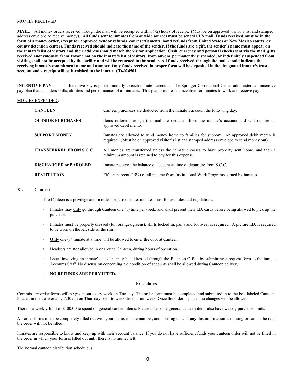#### MONIES RECEIVED

**MAIL:** All money orders received through the mail will be receipted within (72) hours of receipt. (Must be on approved visitor's list and stamped address envelope to receive money**). All funds sent to inmates from outside sources must be sent via US mail. Funds received must be in the form of a money order, except for approved vendor refunds, court settlements, bond refunds from United States or New Mexico courts, or county detention centers. Funds received should indicate the name of the sender. If the funds are a gift, the sender's name must appear on the inmate's list of visitors and their address should match the visitor application. Cash, currency and personal checks sent via the mail, gifts received anonymously, from anyone not on the inmate's list of visitors, from anyone permanently suspended, or indefinitely suspended from visiting shall not be accepted by the facility and will be returned to the sender. All funds received through the mail should indicate the receiving inmate's commitment name and number. Only funds received in proper form will be deposited in the designated inmate's trust account and a receipt will be furnished to the inmate. CD-024501**

**INCENTIVE PAY-** Incentive Pay is posted monthly to each inmate's account. The Springer Correctional Center administers an incentive pay plan that considers skills, abilities and performances of all inmates. This plan provides an incentive for inmates to work and receive pay.

#### MONIES EXPENDED**:**

| <b>CANTEEN</b>                 | Canteen purchases are deducted from the inmate's account the following day.                                                                                                                 |
|--------------------------------|---------------------------------------------------------------------------------------------------------------------------------------------------------------------------------------------|
| <b>OUTSIDE PURCHASES</b>       | Items ordered through the mail are deducted from the inmate's account and will require an<br>approved debit memo.                                                                           |
| <b>SUPPORT MONEY</b>           | Inmates are allowed to send money home to families for support. An approved debit memo is<br>required. (Must be on approved visitor's list and stamped address envelope to send money out). |
| <b>TRANSFERRED FROM S.C.C.</b> | All monies are transferred unless the inmate chooses to have property sent home, and then a<br>minimum amount is retained to pay for this expense.                                          |
| <b>DISCHARGED or PAROLED</b>   | In the receives the balance of account at time of departure from S.C.C.                                                                                                                     |
| <b>RESTITUTION</b>             | Fifteen percent (15%) of all income from Institutional Work Programs earned by inmates.                                                                                                     |

#### **XI. Canteen**

The Canteen is a privilege and in order for it to operate, inmates must follow rules and regulations.

- Inmates may **only** go through Canteen one (1) time per week, and shall present their I.D. cards before being allowed to pick up the purchase.
- Inmates must be properly dressed (full oranges/greens), shirts tucked in, pants and footwear is required. A picture I.D. is required to be worn on the left side of the shirt.
- **Only** one (1) inmate at a time will be allowed to enter the door at Canteen.
- Headsets are **not** allowed in or around Canteen, during hours of operation.
- Issues involving an inmate's account may be addressed through the Business Office by submitting a request form to the inmate Accounts Staff. No discussion concerning the condition of accounts shall be allowed during Canteen delivery.

#### ▫ **NO REFUNDS ARE PERMITTED.**

#### **Procedures**

Commissary order forms will be given out every week on Tuesday. The order form must be completed and submitted in to the box labeled Canteen, located in the Cafeteria by 7:30 am on Thursday prior to week distribution week. Once the order is placed no changes will be allowed.

There is a weekly limit of \$100.00 to spend on general canteen items. Please note some general canteen items also have weekly purchase limits.

All order forms must be completely filled out with your name, inmate number, and housing unit. If any this information is missing or can not be read the order will not be filled.

Inmates are responsible to know and keep up with their account balance. If you do not have sufficient funds your canteen order will not be filled in the order in which your form is filled out until there is no money left.

The normal canteen distribution schedule is: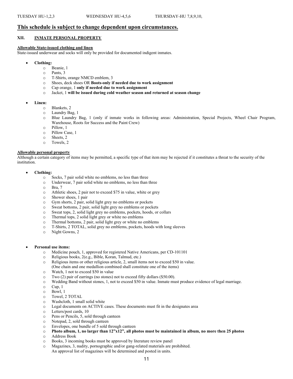#### **This schedule is subject to change dependent upon circumstances.**

#### **XII. INMATE PERSONAL PROPERTY**

#### **Allowable State-issued clothing and linen**

State-issued underwear and socks will only be provided for documented indigent inmates.

- **Clothing:**
	- o Beanie, 1
	- o Pants, 3
	- o T-Shirts, orange NMCD emblem, 3
	- o Shoes, deck shoes OR **Boots-only if needed due to work assignment**
	- o Cap orange, 1 **only if needed due to work assignment**
	- Jacket, 1 will be issued during cold weather season and returned at season change

#### • **Linen:**

- o Blankets, 2
- o Laundry Bag, 1
- o Blue Laundry Bag, 1 (only if inmate works in following areas: Administration, Special Projects, Wheel Chair Program, Warehouse, Roots for Success and the Paint Crew)
- o Pillow, 1
- o Pillow Case, 1
- Sheets, 2
- o Towels, 2

#### **Allowable personal property**

Although a certain category of items may be permitted, a specific type of that item may be rejected if it constitutes a threat to the security of the institution.

- **Clothing:**
	- o Socks, 7 pair solid white no emblems, no less than three
	- o Underwear, 7 pair solid white no emblems, no less than three
	- o Bra, 7
	- o Athletic shoes, 2 pair not to exceed \$75 in value, white or grey
	- $\circ$  Shower shoes, 1 pair<br> $\circ$  Gym shorts, 2 pair, so
	- $\circ$  Gym shorts, 2 pair, solid light grey no emblems or pockets  $\circ$  Sweat bottoms. 2 pair, solid light grey no emblems or pock
	- o Sweat bottoms, 2 pair, solid light grey no emblems or pockets<br>  $\circ$  Sweat tops, 2, solid light grey no emblems, pockets, hoods, or
	- Sweat tops, 2, solid light grey no emblems, pockets, hoods, or collars
	- o Thermal tops, 2 solid light grey or white no emblems
	- o Thermal bottoms, 2 pair, solid light grey or white no emblems
	- o T-Shirts, 2 TOTAL, solid grey no emblems, pockets, hoods with long sleeves
	- Night Gowns, 2
- **Personal use items:**
	- o Medicine pouch, 1, approved for registered Native Americans, per CD-101101
	- o Religious books, 2(e.g., Bible, Koran, Talmud, etc.)
	- o Religious items or other religious article, 2, small items not to exceed \$50 in value. (One chain and one medallion combined shall constitute one of the items)
	- o Watch, 1 not to exceed \$50 in value
	- o Two (2) pair of earrings (no stones) not to exceed fifty dollars (\$50.00).
	- o Wedding Band without stones, 1, not to exceed \$50 in value. Inmate must produce evidence of legal marriage.
	- $O$  Cup, 1
	- $\circ$  Bowl, 1
	- o Towel, 2 TOTAL
	- Washcloth, 1 small solid white
	- o Legal documents on ACTIVE cases. These documents must fit in the designates area
	- o Letters/post cards, 10
	- o Pens or Pencils, 5, sold through canteen
	- o Notepad, 2, sold through canteen
	- o Envelopes, one bundle of 5 sold through canteen
	- o **Photo album, 1, no larger than 12"x12", all photos must be maintained in album, no more then 25 photos** o Address Book
	-
	- $\circ$  Books, 3 incoming books must be approved by literature review panel  $\circ$  Magazines. 3, nudity, pornographic and/or gang-related materials are r Magazines, 3, nudity, pornographic and/or gang-related materials are prohibited. An approval list of magazines will be determined and posted in units.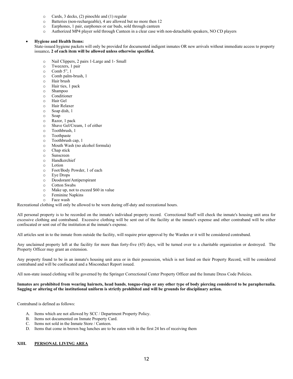- $\circ$  Cards, 3 decks, (2) pinochle and (1) regular  $\circ$  Batteries (non-rechargeable). 4 are allowed
- o Batteries (non-rechargeable), 4 are allowed but no more then 12
- Earphones, 1 pair, earphones or ear buds, sold through canteen
- o Authorized MP4 player sold through Canteen in a clear case with non-detachable speakers, NO CD players

#### • **Hygiene and Health Items:**

State-issued hygiene packets will only be provided for documented indigent inmates OR new arrivals without immediate access to property issuance**. 2 of each item will be allowed unless otherwise specified.** 

- o Nail Clippers, 2 pairs 1-Large and 1- Small
- $\circ$  Tweezers, 1 pair
- $\circ$  Comb 5", 1
- Comb palm-brush, 1
- o Hair brush
- o Hair ties, 1 pack
- o Shampoo
- o Conditioner
- Hair Gel
- o Hair Relaxer
- o Soap dish, 1
- o Soap
- o Razor, 1 pack
- Shave Gel/Cream, 1 of either
- o Toothbrush, 1
- o Toothpaste
- o Toothbrush cap, 1
- o Mouth Wash (no alcohol formula)
- o Chap stick
- o Sunscreen
- o Handkerchief
- o Lotion<br>o Foot/B
- o Foot/Body Powder, 1 of each
- Eye Drops
- o Deodorant/Antiperspirant
- o Cotton Swabs
- $\circ$  Make up, not to exceed \$60 in value<br>  $\circ$  Feminine Nankins
- $\circ$  Feminine Napkins
- Face wash

Recreational clothing will only be allowed to be worn during off-duty and recreational hours.

All personal property is to be recorded on the inmate's individual property record. Correctional Staff will check the inmate's housing unit area for excessive clothing and contraband. Excessive clothing will be sent out of the facility at the inmate's expense and other contraband will be either confiscated or sent out of the institution at the inmate's expense.

All articles sent in to the inmate from outside the facility, will require prior approval by the Warden or it will be considered contraband.

Any unclaimed property left at the facility for more than forty-five (45) days, will be turned over to a charitable organization or destroyed. The Property Officer may grant an extension.

Any property found to be in an inmate's housing unit area or in their possession, which is not listed on their Property Record, will be considered contraband and will be confiscated and a Misconduct Report issued.

All non-state issued clothing will be governed by the Springer Correctional Center Property Officer and the Inmate Dress Code Policies.

#### **Inmates are prohibited from wearing hairnets, head bands**, **tongue-rings or any other type of body piercing considered to be paraphernalia. Sagging or altering of the institutional uniform is strictly prohibited and will be grounds for disciplinary action.**

Contraband is defined as follows:

- A. Items which are not allowed by SCC / Department Property Policy.
- B. Items not documented on Inmate Property Card.
- C. Items not sold in the Inmate Store / Canteen.
- D. Items that come in brown bag lunches are to be eaten with in the first 24 hrs of receiving them

#### **XIII. PERSONAL LIVING AREA**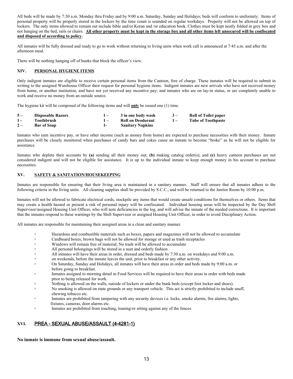All beds will be made by 7:30 a.m. Monday thru Friday and by 9:00 a.m. Saturday, Sunday and Holidays; beds will conform to uniformity. Items of personal property will be properly stored in the lockers by the time count is sounded on regular workdays. Property will not be allowed on top of lockers. The only items allowed to remain out include bible and/or Koran and /or education book. Clothes must be kept neatly folded in grey box and not hanging on the bed, rails or chairs. **All other property must be kept in the storage box and all other items left unsecured will be confiscated and disposed of according to policy.**

All inmates will be fully dressed and ready to go to work without returning to living units when work call is announced at 7:45 a.m. and after the afternoon meal.

There will be nothing hanging off of bunks that block the officer's view.

#### **XIV. PERSONAL HYGIENE ITEMS**

Only indigent inmates are eligible to receive certain personal items from the Canteen, free of charge. These inmates will be required to submit in writing to the assigned Warehouse Officer their request for personal hygiene items. Indigent inmates are new arrivals who have not received money from home, or another institution, and have not yet received any incentive pay; and inmates who are on lay-in status, or are completely unable to work and receive no money from an outside source.

The hygiene kit will be composed of the following items and will **only** be issued one (1) time.

| $5-$  | <b>Disposable Razors</b> | 3 in one body wash      | $3-$         | <b>Roll of Toilet paper</b> |
|-------|--------------------------|-------------------------|--------------|-----------------------------|
| $1 -$ | Toothbrush               | Roll on Deodorant       | $\mathbf{I}$ | <b>Tube of Toothpaste</b>   |
| $2-$  | <b>Bar of Soap</b>       | <b>Sanitary Napkins</b> |              |                             |

Inmates who earn incentive pay, or have other income (such as money from home) are expected to purchase necessities with their money. Inmate purchases will be closely monitored when purchases of candy bars and cokes cause an inmate to become "broke" as he will not be eligible for assistance.

Inmates who deplete their accounts by **(a)** sending all their money out; **(b)** making catalog order(s); and **(c)** heavy canteen purchases are not considered indigent and will not be eligible for assistance. It is up to the individual inmate to keep enough money in his account to purchase necessities.

#### **XV. SAFETY & SANITATION/HOUSEKEEPING**

Inmates are responsible for ensuring that their living area is maintained in a sanitary manner. Staff will ensure that all inmates adhere to the following criteria in the living units. All cleaning supplies shall be provided by S.C.C., and will be returned to the Janitor Room by 10:00 p.m.

Inmates will not be allowed to fabricate electrical cords, stockpile any items that would create unsafe conditions for themselves or others. Items that may create a health hazard or present a risk of personal injury will be confiscated. Individual housing areas will be inspected by the Day Shift Supervisor/assigned Housing Unit Officer, who will note deficiencies in the log, and will advise the inmate of the needed corrections. It is important that the inmates respond to these warnings by the Shift Supervisor or assigned Housing Unit Officer, in order to avoid Disciplinary Action.

All inmates are responsible for maintaining their assigned areas in a clean and sanitary manner.

- <sup>o</sup> Hazardous and combustible materials such as boxes, papers and magazines will not be allowed to accumulate
- Cardboard boxes, brown bags will not be allowed for storage or used as trash receptacles<br>Windows will remain free of material. No trash will be allowed to accumulate
- Windows will remain free of material, No trash will be allowed to accumulate
- All personal belongings will be stored in a neat and orderly fashion
- All inmates will have their areas in order, dressed and beds made by 7:30 a.m. on weekdays and 9:00 a.m.
- on weekends, before the inmate leaves the unit, prior to breakfast or any other activity.
- On Saturday, Sunday and Holidays, all inmates will have their areas in order and beds made by 9:00 a.m. or before going to breakfast.
- <sup>o</sup> Inmates assigned to morning detail in Food Services will be required to have their areas in order with beds made prior to being released for work.
- Nothing is allowed on the walls, outside of lockers or under the bunk beds (except foot locker and shoes).
- <sup>o</sup> No smoking is allowed on state grounds or any transport vehicle. This act is strictly prohibited to include snuff, chewing tobacco etc.
- <sup>o</sup> Inmates are prohibited from tampering with any security devices i.e. locks, smoke alarms, fire alarms, lights, fixtures, cameras, door alarms etc.
- **Inmates are prohibited from touching, leaning/or sitting against any of the fences.**

#### **XVI.** PREA - SEXUAL ABUSE/ASSAULT (4-4281-1)

**No inmate is immune from sexual abuse/assault.**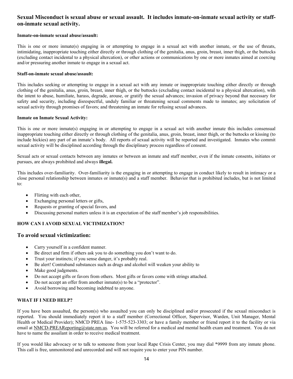## **Sexual Misconduct is sexual abuse or sexual assault. It includes inmate-on-inmate sexual activity or staffon-inmate sexual activity.**

#### **Inmate-on-inmate sexual abuse/assault:**

This is one or more inmate(s) engaging in or attempting to engage in a sexual act with another inmate, or the use of threats, intimidating, inappropriate touching either directly or through clothing of the genitalia, anus, groin, breast, inner thigh, or the buttocks (excluding contact incidental to a physical altercation), or other actions or communications by one or more inmates aimed at coercing and/or pressuring another inmate to engage in a sexual act.

#### **Staff-on-inmate sexual abuse/assault:**

This includes seeking or attempting to engage in a sexual act with any inmate or inappropriate touching either directly or through clothing of the genitalia, anus, groin, breast, inner thigh, or the buttocks (excluding contact incidental to a physical altercation), with the intent to abuse, humiliate, harass, degrade, arouse, or gratify the sexual advances; invasion of privacy beyond that necessary for safety and security, including disrespectful, unduly familiar or threatening sexual comments made to inmates; any solicitation of sexual activity through promises of favors; and threatening an inmate for refusing sexual advances.

#### **Inmate on Inmate Sexual Activity:**

This is one or more inmate(s) engaging in or attempting to engage in a sexual act with another inmate this includes consensual inappropriate touching either directly or through clothing of the genitalia, anus, groin, breast, inner thigh, or the buttocks or kissing (to include hickies) any part of an inmate's body. All reports of sexual activity will be reported and investigated. Inmates who commit sexual activity will be disciplined according through the disciplinary process regardless of consent.

Sexual acts or sexual contacts between any inmates or between an inmate and staff member, even if the inmate consents, initiates or pursues, are always prohibited and always **illegal.**

This includes over-familiarity. Over-familiarity is the engaging in or attempting to engage in conduct likely to result in intimacy or a close personal relationship between inmates or inmate(s) and a staff member. Behavior that is prohibited includes, but is not limited to:

- Flirting with each other,
- Exchanging personal letters or gifts,
- Requests or granting of special favors, and
- Discussing personal matters unless it is an expectation of the staff member's job responsibilities.

### **HOW CAN I AVOID SEXUAL VICTIMIZATION?**

#### **To avoid sexual victimization:**

- Carry yourself in a confident manner.
- Be direct and firm if others ask you to do something you don't want to do.
- Trust your instincts; if you sense danger, it's probably real.
- Be alert! Contraband substances such as drugs and alcohol will weaken your ability to
- Make good judgments.
- Do not accept gifts or favors from others. Most gifts or favors come with strings attached.
- Do not accept an offer from another inmate(s) to be a "protector".
- Avoid borrowing and becoming indebted to anyone.

#### **WHAT IF I NEED HELP?**

If you have been assaulted, the person(s) who assaulted you can only be disciplined and/or prosecuted if the sexual misconduct is reported. You should immediately report it to a staff member (Correctional Officer, Supervisor, Warden, Unit Manager, Mental Health or Medical Provider); NMCD PREA line- 1-575-523-3303; or have a family member or friend report it to the facility or via email at NMCD-PREAReporting@state.nm.us. You will be referred for a medical and mental health exam and treatment. You do not have to name the assailant in order to receive medical treatment.

If you would like advocacy or to talk to someone from your local Rape Crisis Center, you may dial \*9999 from any inmate phone. This call is free, unmonitored and unrecorded and will not require you to enter your PIN number.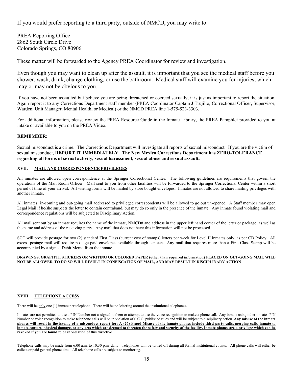If you would prefer reporting to a third party, outside of NMCD, you may write to:

PREA Reporting Office 2862 South Circle Drive Colorado Springs, CO 80906

These matter will be forwarded to the Agency PREA Coordinator for review and investigation.

Even though you may want to clean up after the assault, it is important that you see the medical staff before you shower, wash, drink, change clothing, or use the bathroom. Medical staff will examine you for injuries, which may or may not be obvious to you.

If you have not been assaulted but believe you are being threatened or coerced sexually, it is just as important to report the situation. Again report it to any Corrections Department staff member (PREA Coordinator Captain J Trujillo, Correctional Officer, Supervisor, Warden, Unit Manager, Mental Health, or Medical) or the NMCD PREA line 1-575-523-3303.

For additional information, please review the PREA Resource Guide in the Inmate Library, the PREA Pamphlet provided to you at intake or available to you on the PREA Video.

#### **REMEMBER:**

Sexual misconduct is a crime. The Corrections Department will investigate all reports of sexual misconduct. If you are the victim of sexual misconduct, **REPORT IT IMMEDIATELY. The New Mexico Corrections Department has ZERO-TOLERANCE regarding all forms of sexual activity, sexual harassment, sexual abuse and sexual assault.** 

#### **XVII. MAIL AND CORRESPONDENCE PRIVILEGES**

All inmates are allowed open correspondence at the Springer Correctional Center. The following guidelines are requirements that govern the operations of the Mail Room Officer. Mail sent to you from other facilities will be forwarded to the Springer Correctional Center within a short period of time of your arrival. All visiting forms will be mailed by store bought envelopes. Inmates are not allowed to share mailing privileges with another inmate.

All inmates' in-coming and out-going mail addressed to privileged correspondents will be allowed to go out un-opened. A Staff member may open Legal Mail if he/she suspects the letter to contain contraband, but may do so only in the presence of the inmate. Any inmate found violating mail and correspondence regulations will be subjected to Disciplinary Action.

All mail sent out by an inmate requires the name of the inmate, NMCD# and address in the upper left hand corner of the letter or package; as well as the name and address of the receiving party. Any mail that does not have this information will not be processed.

SCC will provide postage for two (2) standard First Class (current cost of stamps) letters per week for Level II inmates only, as per CD Policy. All excess postage mail will require postage paid envelopes available through canteen. Any mail that requires more than a First Class Stamp will be accompanied by a signed Debit Memo from the inmate.

#### **DRAWINGS, GRAFITTI, STICKERS OR WRITING OR COLORED PAPER (other than required information) PLACED ON OUT-GOING MAIL WILL NOT BE ALLOWED, TO DO SO WILL RESULT IN CONFISCATION OF MAIL, AND MAY RESULT IN DISCIPLINARY ACTION**

#### **XVIII. TELEPHONE ACCESS**

There will be only one (1) inmate per telephone. There will be no loitering around the institutional telephones.

Inmates are not permitted to use a PIN Number not assigned to them or attempt to use the voice recognition to make a phone call. Any inmate using other inmates PIN Number or voice recognition to make telephone calls will be in violation of S.C.C. published rules and will be subject to disciplinary action. **Any misuse of the inmate phones will result in the issuing of a misconduct report for: A (26) Fraud Misuse of the inmate phones include third party calls, merging calls, inmate to inmate contact, physical damage, or any acts which are deemed to threaten the safety and security of the facility. Inmate phones are a privilege which can be revoked if you are found to be in violation of this directive.**

Telephone calls may be made from 6:00 a.m. to 10:30 p.m. daily. Telephones will be turned off during all formal institutional counts. All phone calls will either be collect or paid general phone time. All telephone calls are subject to monitoring.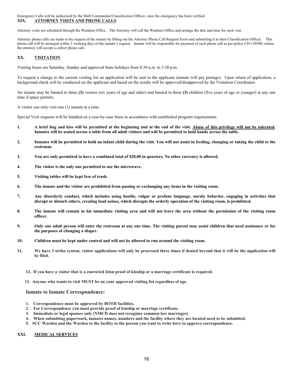#### Emergency Calls will be authorized by the Shift Commander/Classification Officer, once the emergency has been verified. **XIX. ATTORNEY VISITS AND PHONE CALLS**

Attorney visits are scheduled through the Wardens Office. The Attorney will call the Wardens Office and arrange the date and time for such visit.

Attorney phone calls are made at the request of the inmate by filling out the Attorney Phone Call Request Form and submitting it to their Classification Officer. This phone call will be arranged within 2 working days of the inmate's request. Inmate will be responsible for payment of such phone call as per policy CD-150300, unless the attorney will accept a collect phone call.

#### **XX. VISITATION**

Visiting hours are Saturday, Sunday and approved State holidays from 8:30 a.m. to 3:30 p.m.

To request a change to the current visiting list an application will be sent to the applicant (inmate will pay postage). Upon return of application, a background check will be conducted on the applicant and based on the results will be approved/disapproved by the Visitation Coordinator.

An inmate may be limited to three **(3)** visitors (six years of age and older) and limited to three **(3)** children (five years of age or younger) at any one time if space permits.

A visitor can only visit one (1) inmate at a time.

Special Visit requests will be handled on a case-by-case basis in accordance with established program requirements.

- **1. A brief hug and kiss will be permitted at the beginning and at the end of the visit. Abuse of this privilege will not be tolerated. Inmates will be seated across a table from all adult visitors and will be permitted to hold hands across the table.**
- **2. Inmates will be permitted to hold an infant child during the visit. You will not assist in feeding, changing or taking the child to the restroom.**
- **3. You are only permitted to have a combined total of \$20.00 in quarters. No other currency is allowed.**
- **4. The visitor is the only one permitted to use the microwave.**
- **5. Visiting tables will be kept free of trash.**
- **6. The inmate and the visitor are prohibited from passing or exchanging any items in the visiting room.**
- **7. Any disorderly conduct, which includes using hostile, vulgar or profane language, unruly behavior, engaging in activities that disrupt or disturb others, creating loud noises, which disrupts the orderly operation of the visiting room, is prohibited.**
- **8. The inmate will remain in his immediate visiting area and will not leave the area without the permission of the visiting room officer.**
- **9. Only one adult person will enter the restroom at any one time. The visiting parent may assist children that need assistance or for the purposes of changing a diaper.**
- **10. Children must be kept under control and will not be allowed to run around the visiting room.**
- **11. We have 3 strike system, visitor applications will only be processed three times if denied beyond that it will be the application will be filed.**
	- **12. If you have a visitor that is a convicted felon proof of kinship or a marriage certificate is required.**
	- **13. Anyone who wants to visit MUST be on your approved visiting list regardless of age.**

#### **Inmate to Inmate Correspondence:**

- **1. Correspondence must be approved by BOTH facilities.**
- **2. For Correspondence you must provide proof of kinship or marriage certificate.**
- **3. Immediate or legal spouses only (NMCD does not recognize common law marriages)**
- **4. When submitting paperwork, inmates names, numbers and the facility where they are located need to be submitted.**
- **5. SCC Warden and the Warden to the facility to the person you want to write have to approve correspondence.**

#### **XXI. MEDICAL SERVICES**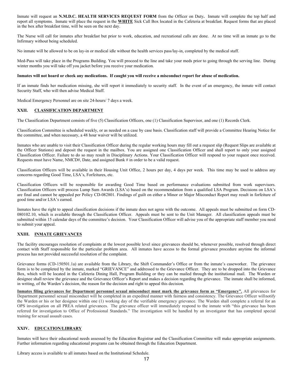Inmate will request an **N.M.D.C. HEALTH SERVICES REQUEST FORM** from the Officer on Duty**.** Inmate will complete the top half and report all symptoms. Inmate will place the request in the **WHITE** Sick Call Box located in the Cafeteria at breakfast. Request forms that are placed in the box after breakfast time, will be seen on the next day.

The Nurse will call for inmates after breakfast but prior to work, education, and recreational calls are done. At no time will an inmate go to the Infirmary without being scheduled.

No inmate will be allowed to be on lay-in or medical idle without the health services pass/lay-in, completed by the medical staff.

Med-Pass will take place in the Programs Building. You will proceed to the line and take your meds prior to going through the serving line. During winter months you will take off you jacket before you receive your medication.

#### **Inmates will not hoard or cheek any medications. If caught you will receive a misconduct report for abuse of medication.**

If an inmate finds her medication missing, she will report it immediately to security staff. In the event of an emergency, the inmate will contact Security Staff, who will then advise Medical Staff.

Medical Emergency Personnel are on site 24-hours/ 7 days a week.

#### **XXII. CLASSIFICATION DEPARTMENT**

The Classification Department consists of five (5) Classification Officers, one (1) Classification Supervisor, and one (1) Records Clerk.

Classification Committee is scheduled weekly, or as needed on a case by case basis. Classification staff will provide a Committee Hearing Notice for the committee, and when necessary, a 48 hour waiver will be utilized.

Inmates who are unable to visit their Classification Officer during the regular working hours may fill out a request slip (Request Slips are available at the Officer Stations) and deposit the request in the mailbox. You are assigned one Classification Officer and shall report to only your assigned Classification Officer. Failure to do so may result in Disciplinary Actions. Your Classification Officer will respond to your request once received. Requests must have Name, NMCD#, Date, and assigned Bunk # in order to be a valid request.

Classification Officers will be available in their Housing Unit Office, 2 hours per day, 4 days per week. This time may be used to address any concerns regarding Good Time, LSA's, Forfeitures, etc.

Classification Officers will be responsible for awarding Good Time based on performance evaluations submitted from work supervisors. Classification Officers will process Lump Sum Awards (LSA's) based on the recommendation from a qualified LSA Program. Decisions on LSA's are final and cannot be appealed per Policy CD-082801. Findings of guilt on either a Minor or Major Misconduct Report may result in forfeiture of good time and/or LSA's earned.

Inmates have the right to appeal classification decisions if the inmate does not agree with the outcome. All appeals must be submitted on form CD-080102.10, which is available through the Classification Officer. Appeals must be sent to the Unit Manager. All classification appeals must be submitted within 15 calendar days of the committee's decision. Your Classification Officer will advise you of the appropriate staff member you need to submit your appeal.

#### **XXIII. INMATE GRIEVANCES**

The facility encourages resolution of complaints at the lowest possible level since grievances should be, whenever possible, resolved through direct contact with Staff responsible for the particular problem area. All inmates have access to the formal grievance procedure anytime the informal process has not provided successful resolution of the complaint.

Grievance forms (CD-150501.1a) are available from the Library, the Shift Commander's Office or from the inmate's caseworker. The grievance form is to be completed by the inmate, marked "GRIEVANCE" and addressed to the Grievance Officer. They are to be dropped into the Grievance Box, which will be located in the Cafeteria Dining Hall, Program Building or they can be mailed through the institutional mail. The Warden or designee shall review the grievance and the Grievance Officer's Report and makes a decision regarding the grievance. The inmate shall be informed, in writing, of the Warden's decision, the reason for the decision and right to appeal this decision.

**Inmates filing grievances for Department personnel sexual misconduct must mark the grievance form as "Emergency".** All grievances for Department personnel sexual misconduct will be completed in an expedited manner with fairness and consistency. The Grievance Officer willnotify the Warden or his or her designee within one (1) working day of the verifiable emergency grievance. The Warden shall complete a referral for an OPS investigation on all PREA related grievances. The grievance officer will immediately respond to the inmate with "this grievance has been referred for investigation to Office of Professional Standards." The investigation will be handled by an investigator that has completed special training for sexual assault cases.

#### **XXIV. EDUCATION/LIBRARY**

Inmates will have their educational needs assessed by the Education Registrar and the Classification Committee will make appropriate assignments. Further information regarding educational programs can be obtained through the Education Department.

Library access is available to all inmates based on the Institutional Schedule.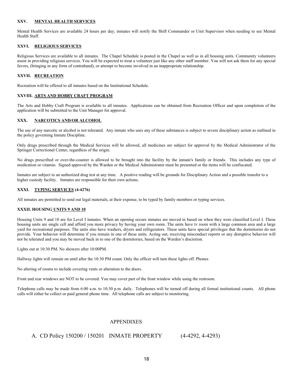#### **XXV. MENTAL HEALTH SERVICES**

Mental Health Services are available 24 hours per day; inmates will notify the Shift Commander or Unit Supervisor when needing to see Mental Health Staff.

#### **XXVI. RELIGIOUS SERVICES**

Religious Services are available to all inmates. The Chapel Schedule is posted in the Chapel as well as in all housing units. Community volunteers assist in providing religious services. You will be expected to treat a volunteer just like any other staff member. You will not ask them for any special favors, (bringing in any form of contraband), or attempt to become involved in an inappropriate relationship.

#### **XXVII. RECREATION**

Recreation will be offered to all inmates based on the Institutional Schedule.

#### **XXVIII. ARTS AND HOBBY CRAFT PROGRAM**

The Arts and Hobby Craft Program is available to all inmates. Applications can be obtained from Recreation Officer and upon completion of the application will be submitted to the Unit Manager for approval.

#### **XXX. NARCOTICS AND/OR ALCOHOL**

The use of any narcotic or alcohol is not tolerated. Any inmate who uses any of these substances is subject to severe disciplinary action as outlined in the policy governing Inmate Discipline.

Only drugs prescribed through the Medical Services will be allowed, all medicines are subject for approval by the Medical Administrator of the Springer Correctional Center, regardless of the origin.

No drugs prescribed or over-the-counter is allowed to be brought into the facility by the inmate's family or friends. This includes any type of medication or vitamin. Signed approval by the Warden or the Medical Administrator must be presented or the items will be confiscated.

Inmates are subject to an authorized drug test at any time. A positive reading will be grounds for Disciplinary Action and a possible transfer to a higher custody facility. Inmates are responsible for their own actions.

#### **XXXI. TYPING SERVICES (4-4276)**

All inmates are permitted to send out legal materials, at their expense, to be typed by family members or typing services.

#### **XXXII. HOUSING UNITS 9 AND 10**

Housing Units 9 and 10 are for Level I inmates. When an opening occurs inmates are moved in based on when they were classified Level I. These housing units are single cell and afford you more privacy by having your own room. The units have tv room with a large common area and a large yard for recreational purposes. The units also have washers, dryers and refrigerators. These units have special privileges that the dormitories do not provide. Your behavior will determine if you remain in one of these units. Acting out, receiving misconduct reports or any disruptive behavior will not be tolerated and you may be moved back in to one of the dormitories, based on the Warden's discretion.

Lights out at 10:30 PM. No showers after 10:00PM.

Hallway lights will remain on until after the 10:30 PM count. Only the officer will turn these lights off. Phones

No altering of rooms to include covering vents or alteration to the doors.

Front and rear windows are NOT to be covered. You may cover part of the front window while using the restroom.

Telephone calls may be made from 6:00 a.m. to 10:30 p.m. daily. Telephones will be turned off during all formal institutional counts. All phone calls will either be collect or paid general phone time. All telephone calls are subject to monitoring.

#### APPENDIXES

### A. CD Policy 150200 / 150201 INMATE PROPERTY (4-4292, 4-4293)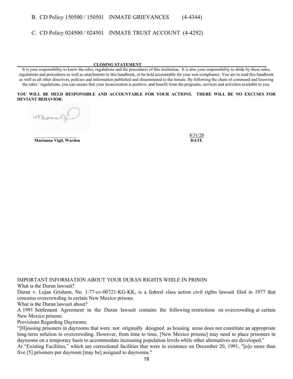## B. CD Policy 150500 / 150501 INMATE GRIEVANCES (4-4344)

C. CD Policy 024500 / 024501 INMATE TRUST ACCOUNT (4-4292)

#### **CLOSING STATEMENT\_\_\_\_\_\_\_\_\_\_\_\_\_\_\_\_\_\_\_\_\_\_\_\_\_\_\_\_\_\_\_\_\_\_\_\_\_\_\_\_\_\_\_\_\_\_\_\_\_\_\_\_\_\_\_\_\_\_**

It is your responsibility to know the rules, regulations and the procedures of this institution. It is also your responsibility to abide by these rules, regulations and procedures as well as attachments to this handbook, or be held accountable for your non-compliance. You are to read this handbook as well as all other directives, policies and information published and disseminated to the inmate. By following the chain of command and knowing the rules / regulations, you can ensure that your incarceration is positive, and benefit from the programs, services and activities available to you.

#### **YOU WILL BE HELD RESPONSIBLE AND ACCOUNTABLE FOR YOUR ACTIONS. THERE WILL BE NO EXCUSES FOR DEVIANT BEHAVIOR.**

Maianna Vy

**Marianna Vigil, Warden DATE**

 $8/31/20$ 

IMPORTANT INFORMATION ABOUT YOUR DURAN RIGHTS WHILE IN PRISON

What is the Duran lawsuit?

Duran v. Lujan Grisham, No. 1:77-cv-00721-KG-KK, is a federal class action civil rights lawsuit filed in 1977 that concerns overcrowding in certain New Mexico prisons.

What is the Duran lawsuit about?

A 1991 Settlement Agreement in the Duran lawsuit contains the following restrictions on overcrowding at certain New Mexico prisons:

Provisions Regarding Dayrooms:

"[H]ousing prisoners in dayrooms that were not originally designed as housing areas does not constitute an appropriate long-term solution to overcrowding. However, from time to time, [New Mexico prisons] may need to place prisoners in dayrooms on a temporary basis to accommodate increasing population levels while other alternatives are developed."

At "Existing Facilities," which are correctional facilities that were in existence on December 20, 1991, "[n]o more than five [5] prisoners per dayroom [may be] assigned to dayrooms."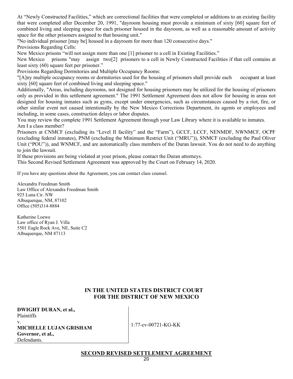At "Newly Constructed Facilities," which are correctional facilities that were completed or additions to an existing facility that were completed after December 20, 1991, "dayroom housing must provide a minimum of sixty [60] square feet of combined living and sleeping space for each prisoner housed in the dayroom, as well as a reasonable amount of activity space for the other prisoners assigned to that housing unit."

"No individual prisoner [may be] housed in a dayroom for more than 120 consecutive days." Provisions Regarding Cells:

New Mexico prisons "will not assign more than one [1] prisoner to a cell in Existing Facilities."

New Mexico prisons "may assign two[2] prisoners to a cell in Newly Constructed Facilities if that cell contains at least sixty (60) square feet per prisoner."

Provisions Regarding Dormitories and Multiple Occupancy Rooms:

"[A]ny multiple occupancy rooms or dormitories used for the housing of prisoners shall provide each occupant at least sixty [60] square feet of combined living and sleeping space."

Additionally, "Areas, including dayrooms, not designed for housing prisoners may be utilized for the housing of prisoners only as provided in this settlement agreement." The 1991 Settlement Agreement does not allow for housing in areas not designed for housing inmates such as gyms, except under emergencies, such as circumstances caused by a riot, fire, or other similar event not caused intentionally by the New Mexico Corrections Department, its agents or employees and including, in some cases, construction delays or labor disputes.

You may review the complete 1991 Settlement Agreement through your Law Library where it is available to inmates. Am I a class member?

Prisoners at CNMCF (excluding its "Level II facility" and the "Farm"), GCCF, LCCF, NENMDF, NWNMCF, OCPF (excluding federal inmates), PNM (excluding the Minimum Restrict Unit ("MRU")), SNMCF (excluding the Paul Oliver Unit ("POU")), and WNMCF, and are automatically class members of the Duran lawsuit. You do not need to do anything to join the lawsuit.

If these provisions are being violated at your prison, please contact the Duran attorneys.

This Second Revised Settlement Agreement was approved by the Court on February 14, 2020.

If you have any questions about the Agreement, you can contact class counsel.

Alexandra Freedman Smith Law Office of Alexandra Freedman Smith 925 Luna Cir. NW Albuquerque, NM, 87102 Office (505)314-8884

Katherine Loewe Law office of Ryan J. Villa 5501 Eagle Rock Ave, NE, Suite C2 Albuquerque, NM 87113

## **IN THE UNITED STATES DISTRICT COURT FOR THE DISTRICT OF NEW MEXICO**

| <b>DWIGHT DURAN, et al.,</b>  |
|-------------------------------|
| Plaintiffs                    |
| V.                            |
| <b>MICHELLE LUJAN GRISHAM</b> |
| Governor, et al.,             |
| Defendants.                   |
|                               |

1:77-cv-00721-KG-KK

**SECOND REVISED SETTLEMENT AGREEMENT**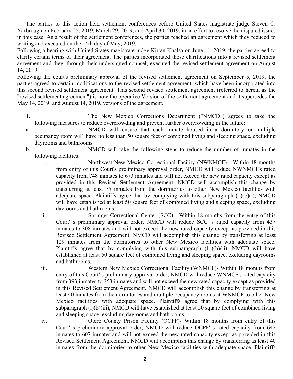The parties to this action held settlement conferences before United States magistrate judge Steven C. Yarbrough on February 25, 2019, March 29, 2019, and April 30, 2019, in an effort to resolve the disputed issues in this case. As a result of the settlement conferences, the parties reached an agreement which they reduced to writing and executed on the 14th day of May, 2019.

Following a hearing with United States magistrate judge Kirtan Khalsa on June 11, 2019, the parties agreed to clarify certain terms of their agreement. The parties incorporated those clarifications into a revised settlement agreement and they, through their undersigned counsel, executed the revised settlement agreement on August 14, 2019.

Following the court's preliminary approval of the revised settlement agreement on September 5, 2019, the parties agreed to certain modifications to the revised settlement agreement, which have been incorporated into this second revised settlement agreement. This second revised settlement agreement (referred to herein as the "revised settlement agreement") is now the operative Version of the settlement agreement and it supersedes the May 14, 2019, and August 14, 2019, versions of the agreement.

- 1. The New Mexico Corrections Department ("NMCD") agrees to take the following measures to reduce overcrowding and prevent further overcrowding in the future:
- a. NMCD will ensure that each inmate housed in a dormitory or multiple occupancy room wil1 have no less than 50 square feet of combined living and sleeping space, excluding dayrooms and bathrooms.
- b. NMCD will take the following steps to reduce the number of inmates in the following facilities:
	- i. Northwest New Mexico Correctional Facility (NWNMCF) Within 18 months from entry of this Court's preliminary approval order, NMCD will reduce NWNMCF's rated capacity from 748 inmates to 673 inmates and will not exceed the new rated capacity except as provided in this Revised Settlement Agreement. NMCD will accomplish this change by transferring at least 75 inmates from the dormitories to other New Mexico facilities with adequate space. Plaintiffs agree that by complying with this subparagraph  $(1)(b)(i)$ , NMCD will have established at least 50 square feet of combined living and sleeping space, excluding dayrooms and bathrooms.
	- ii. Springer Correctional Center (SCC) Within 18 months from the entry of this Court' s preliminary approval order, NMCD will reduce SCC' s rated capacity from 437 inmates to 308 inmates and will not exceed the new rated capacity except as provided in this Revised Settlement Agreement. NMCD will accomplish this change by transferring at least 129 inmates from the dormitories to other New Mexico facilities with adequate space. Plaintiffs agree that by complying with this subparagraph (l )(b)(ii), NMCD will have established at least 50 square feet of combined living and sleeping space, excluding dayrooms and bathrooms.
	- iii. Western New Mexico Correctional Facility (WNMCF)- Within 18 months from entry of this Court' s preliminary approval order, NMCD will reduce WNMCF's rated capacity from 393 inmates to 353 inmates and will not exceed the new rated capacity except as provided in this Revised Settlement Agreement. NMCD will accomplish this change by transferring at least 40 inmates from the dormitories and multiple occupancy rooms at WNMCF to other New Mexico facilities with adequate space. Plaintiffs agree that by complying with this subparagraph (l)(b)(iii), NMCD will have established at least 50 square feet of combined living and sleeping space, excluding dayrooms and bathrooms.
	- iv. Otero County Prison Facility (OCPF)- Within 18 months from entry of this Court' s preliminary approval order, NMCD will reduce OCPF' s rated capacity from 647 inmates to 607 inmates and will not exceed the new rated capacity except as provided in this Revised Settlement Agreement. NMCD will accomplish this change by transferring as least 40 inmates from the dormitories to other New Mexico facilities with adequate space. Plaintiffs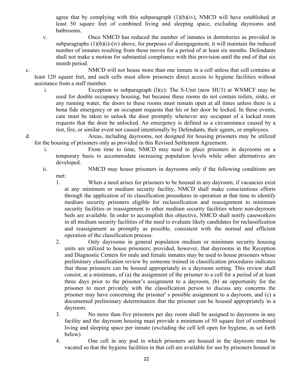agree that by complying with this subparagraph  $(1)(b)(iv)$ , NMCD will have established at least 50 square feet of combined living and sleeping space, excluding dayrooms and bathrooms.

v. Once NMCD has reduced the number of inmates in dormitories as provided in subparagraphs  $(1)(b)(i)-(iv)$  above, for purposes of disengagement, it will maintain the reduced number of inmates resulting from those moves for a period of at least six months. Defendants shall not make a motion for substantial compliance with this provision until the end of that six month period.

c. NMCD will not house more than one inmate in a cell unless that cell contains at least 120 square feet, and such cells must allow prisoners direct access to hygiene facilities without assistance from a staff member.

- i. Exception to subparagraph  $(l)(c)$ : The S-Unit (now HU3) at WNMCF may be used for double occupancy housing, but because these rooms do not contain toilets, sinks, or any running water, the doors to these rooms must remain open at all times unless there is a bona fide emergency or an occupant requests that his or her door be locked. In these events, care must be taken to unlock the door promptly whenever any occupant of a locked room requests that the door be unlocked. An emergency is defined as a circumstance caused by a riot, fire, or similar event not caused intentionally by Defendants, their agents, or employees.
- d. Areas, including dayrooms, not designed for housing prisoners may be utilized for the housing of prisoners only as provided in this Revised Settlement Agreement.
	- i. From time to time, NMCD may need to place prisoners in dayrooms on a temporary basis to accommodate increasing population levels while other alternatives are developed.
	- ii. NMCD may house prisoners in dayrooms only if the following conditions are met:
		- 1. When a need arises for prisoners to be housed in any dayroom, if vacancies exist at any minimum or medium security facility, NMCD shall make conscientious efforts through the application of its classification procedures in operation at that time to identify medium security prisoners eligible for reclassification and reassignment to minimum security facilities or reassignment to other medium security facilities where non-dayroom beds are available. In order to accomplish this objective, NMCD shall notify caseworkers in all medium security facilities of the need to evaluate likely candidates for reclassification and reassignment as promptly as possible, consistent with the normal and efficient operation of the classification process.
		- 2. Only dayrooms in general population medium or minimum security housing units are utilized to house prisoners; provided, however, that dayrooms in the Reception and Diagnostic Centers for male and female inmates may be used to house prisoners whose preliminary classification review by someone trained in classification procedures indicates that those prisoners can be housed appropriately in a dayroom setting. This review shall consist, at a minimum, of (a) the assignment of the prisoner to a cell for a period of at least three days prior to the prisoner's assignment to a dayroom, (b) an opportunity for the prisoner to meet privately with the classification person to discuss any concerns the prisoner may have concerning the prisoner' s possible assignment to a dayroom, and (c) a documented preliminary determination that the prisoner can be housed appropriately in a dayroom.
		- 3. No more than five prisoners per day room shall be assigned to dayrooms in any facility and the dayroom housing must provide a minimum of 50 square feet of combined living and sleeping space per inmate (excluding the cell left open for hygiene, as set forth below).
		- 4. One cell in any pod in which prisoners are housed in the dayroom must be vacated so that the hygiene facilities in that cell are available for use by prisoners housed in
			- 22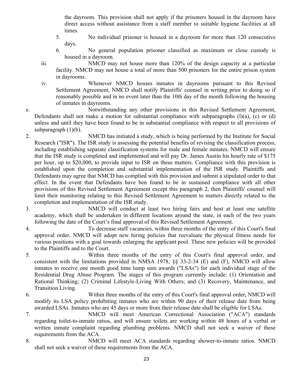the dayroom. This provision shall not apply if the prisoners housed in the dayroom have direct access without assistance from a staff member to suitable hygiene facilities at all times.

- 5. No individual prisoner is housed in a dayroom for more than 120 consecutive days.
- 6. No general population prisoner classified as maximum or close custody is housed in a dayroom.

iii. NMCD may not house more than 120% of the design capacity at a particular facility. NMCD may not house a total of more than 500 prisoners for the entire prison system in dayrooms.

iv. Whenever NMCD houses inmates in dayrooms pursuant to this Revised Settlement Agreement, NMCD shall notify Plaintiffs' counsel in writing prior to doing so if reasonably possible and in no event later than the 10th day of the month following the housing of inmates in dayrooms.

e. Notwithstanding any other provisions in this Revised Settlement Agreement, Defendants shall not make a motion for substantial compliance with subparagraphs  $(1)(a)$ ,  $(c)$  or  $(d)$ unless and until they have been found to be in substantial compliance with respect to all provisions of subparagraph  $(1)(b)$ .

2. NMCD has initiated a study, which is being performed by the Institute for Social Research ("ISR"). The ISR study is assessing the potential benefits of revising the classification process, including establishing separate classification systems for male and female inmates. NMCD will ensure that the ISR study is completed and implemented and will pay Dr. James Austin his hourly rate of \$175 per hour, up to \$20,000, to provide input to ISR on these matters. Compliance with this provision is established upon the completion and substantial implementation of the ISR study. Plaintiffs and Defendants may agree that NMCD has complied with this provision and submit a stipulated order to that effect. In the event that Defendants have ben found to be in sustained compliance with all other provisions of this Revised Settlement Agreement except this paragraph 2, then Plaintiffs' counsel will limit their monitoring relating to this Revised Settlement Agreement to matters directly related to the completion and implementation of the ISR study.

3. NMCD will conduct at least two hiring fairs and host at least one satellite academy, which shall be undertaken in different locations around the state, in each of the two years following the date of the Court's final approval of this Revised Settlement Agreement.

4. To decrease staff vacancies, within three months of the entry of this Court's final approval order, NMCD will adopt new hiring policies that reevaluate the physical fitness needs for various positions with a goal towards enlarging the applicant pool. These new policies will be provided to the Plaintiffs and to the Court.

5. Within three months of the entry of this Court's final approval order, and consistent with the limitations provided in NMSA 1978, §§ 33-2-34 (E) and (F), NMCD will allow inmates to receive one month good time lump sum awards ("LSAs") for each individual stage of the Residential Drug Abuse Program. The stages of this program currently include: (1) Orientation and Rational Thinking; (2) Criminal Lifestyle-Living With Others; and (3) Recovery, Maintenance, and Transition Living.

- 6. Within three months of the entry of this Court's final approval order, NMCD will modify its LSA policy prohibiting inmates who are within 90 days of their release date from being awarded LSAs. Inmates who are 45 days or more from their release date shall be eligible for LSAs.
- 7. NMCD will meet American Correctional Association ("ACA") standards regarding toilet-to-inmate ratios, and will ensure toilets are working within 48 hours of a verbal or written inmate complaint regarding plumbing problems. NMCD shall not seek a waiver of these requirements from the ACA.
- 8. NMCD will meet ACA standards regarding shower-to-inmate ratios. NMCD shall not seek a waiver of these requirements from the ACA.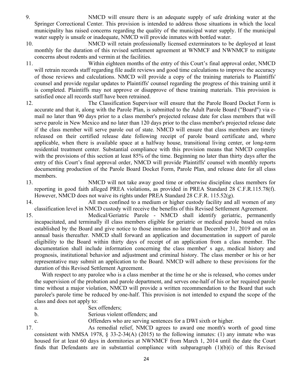- 9. NMCD will ensure there is an adequate supply of safe drinking water at the Springer Correctional Center. This provision is intended to address those situations in which the local municipality has raised concerns regarding the quality of the municipal water supply. If the municipal water supply is unsafe or inadequate, NMCD will provide inmates with bottled water.
- 10. NMCD will retain professionally licensed exterminators to be deployed at least monthly for the duration of this revised settlement agreement at WNMCF and NWNMCF to mitigate concerns about rodents and vermin at the facilities.
- 11. Within eighteen months of the entry of this Court's final approval order, NMCD will retrain records staff regarding file audit reviews and good time calculations to improve the accuracy of those reviews and calculations. NMCD will provide a copy of the training materials to Plaintiffs' counsel and provide regular updates to Plaintiffs' counsel regarding the progress of this training until it is completed. Plaintiffs may not approve or disapprove of these training materials. This provision is satisfied once all records staff have been retrained.
- 12. The Classification Supervisor will ensure that the Parole Board Docket Form is accurate and that it, along with the Parole Plan, is submitted to the Adult Parole Board ("Board") via email no later than 90 days prior to a class member's projected release date for class members that will serve parole in New Mexico and no later than 120 days prior to the class member's projected release date if the class member will serve parole out of state. NMCD will ensure that class members are timely released on their certified release date following receipt of parole board certificate and, where applicable, when there is available space at a halfway house, transitional living center, or long-term residential treatment center. Substantial compliance with this provision means that NMCD complies with the provisions of this section at least 85% of the time. Beginning no later than thirty days after the entry of this Court's final approval order, NMCD will provide Plaintiffs' counsel with monthly reports documenting production of the Parole Board Docket Form, Parole Plan, and release date for all class members.
- 13. NMCD will not take away good time or otherwise discipline class members for reporting in good faith alleged PREA violations, as provided in PREA Standard 28 C.F.R.115.78(f). However, NMCD does not waive its rights under PREA Standard 28 C.F.R.  $115.52(g)$ .
- 14. All men confined to a medium or higher custody facility and all women of any classification level in NMCD custody will receive the benefits of this Revised Settlement Agreement.

15. Medical/Geriatric Parole - NMCD shall identify geriatric, permanently incapacitated, and terminally ill class members eligible for geriatric or medical parole based on rules established by the Board and give notice to those inmates no later than December 31, 2019 and on an annual basis thereafter. NMCD shall forward an application and documentation in support of parole eligibility to the Board within thirty days of receipt of an application from a class member. The documentation shall include information concerning the class member' s age, medical history and prognosis, institutional behavior and adjustment and criminal history. The class member or his or her representative may submit an application to the Board. NMCD will adhere to these provisions for the duration of this Revised Settlement Agreement.

 With respect to any parolee who is a class member at the time he or she is released, who comes under the supervision of the probation and parole department, and serves one-half of his or her required parole time without a major violation, NMCD will provide a written recommendation to the Board that such parolee's parole time be reduced by one-half. This provision is not intended to expand the scope of the class and does not apply to:

- a. Sex offenders;
- b. Serious violent offenders; and
- c. Offenders who are serving sentences for a DWI sixth or higher.

17. As remedial relief, NMCD agrees to award one month's worth of good time consistent with NMSA 1978,  $\S$  33-2-34(A) (2015) to the following inmates: (1) any inmate who was housed for at least 60 days in dormitories at NWNMCF from March 1, 2014 until the date the Court finds that Defendants are in substantial compliance with subparagraph  $(1)(b)(i)$  of this Revised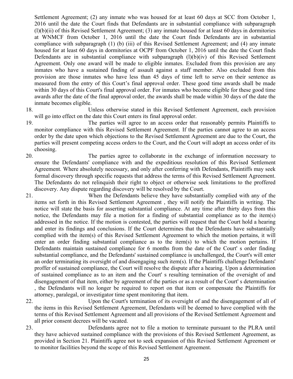Settlement Agreement; (2) any inmate who was housed for at least 60 days at SCC from October 1, 2016 until the date the Court finds that Defendants are in substantial compliance with subparagraph  $(l)(b)(ii)$  of this Revised Settlement Agreement; (3) any inmate housed for at least 60 days in dormitories at WNMCF from October 1, 2016 until the date the Court finds Defendants are in substantial compliance with subparagraph (1) (b) (iii) of this Revised Settlement Agreement; and (4) any inmate housed for at least 60 days in dormitories at OCPF from October 1, 2016 until the date the Court finds Defendants are in substantial compliance with subparagraph  $(l)(b)(iv)$  of this Revised Settlement Agreement. Only one award will be made to eligible inmates. Excluded from this provision are any inmates who have a sustained finding of assault against a staff member. Also excluded from this provision are those inmates who have less than 45 days of time left to serve on their sentence as measured from the entry of this Court's final approval order. These good time awards shall be made within 30 days of this Court's final approval order. For inmates who become eligible for these good time awards after the date of the final approval order, the awards shall be made within 30 days of the date the inmate becomes eligible.

18. Unless otherwise stated in this Revised Settlement Agreement, each provision will go into effect on the date this Court enters its final approval order.

19. The parties will agree to an access order that reasonably permits Plaintiffs to monitor compliance with this Revised Settlement Agreement. If the parties cannot agree to an access order by the date upon which objections to the Revised Settlement Agreement are due to the Court, the parties will present competing access orders to the Court, and the Court will adopt an access order of its choosing.

- 20. The parties agree to collaborate in the exchange of information necessary to ensure the Defendants' compliance with and the expeditious resolution of this Revised Settlement Agreement. Where absolutely necessary, and only after conferring with Defendants, Plaintiffs may seek formal discovery through specific requests that address the terms of this Revised Settlement Agreement. The Defendants do not relinquish their right to object or otherwise seek limitations to the proffered discovery. Any dispute regarding discovery will be resolved by the Court.
- 21. When the Defendants believe they have substantially complied with any of the items set forth in this Revised Settlement Agreement , they will notify the Plaintiffs in writing. The notice will state the basis for asserting substantial compliance. At any time after thirty days from this notice, the Defendants may file a motion for a finding of substantial compliance as to the item(s) addressed in the notice. If the motion is contested, the parties will request that the Court hold a hearing and enter its findings and conclusions. If the Court determines that the Defendants have substantially complied with the item(s) of this Revised Settlement Agreement to which the motion pertains, it will enter an order finding substantial compliance as to the item(s) to which the motion pertains. If Defendants maintain sustained compliance for 6 months from the date of the Court' s order finding substantial compliance, and the Defendants' sustained compliance is unchallenged, the Court's will enter an order terminating its oversight of and disengaging such item(s). If the Plaintiffs challenge Defendants' proffer of sustained compliance, the Court will resolve the dispute after a hearing. Upon a determination of sustained compliance as to an item and the Court' s resulting termination of the oversight of and disengagement of that item, either by agreement of the parties or as a result of the Court' s determination , the Defendants will no longer be required to report on that item or compensate the Plaintiffs for attorney, paralegal, or investigator time spent monitoring that item.

22. Upon the Court's termination of its oversight of and the disengagement of all of the items in this Revised Settlement Agreement, Defendants will be deemed to have complied with the terms of this Revised Settlement Agreement and all provisions of the Revised Settlement Agreement and all prior consent decrees will be vacated.

23. Defendants agree not to file a motion to terminate pursuant to the PLRA until they have achieved sustained compliance with the provisions of this Revised Settlement Agreement, as provided in Section 21. Plaintiffs agree not to seek expansion of this Revised Settlement Agreement or to monitor facilities beyond the scope of this Revised Settlement Agreement.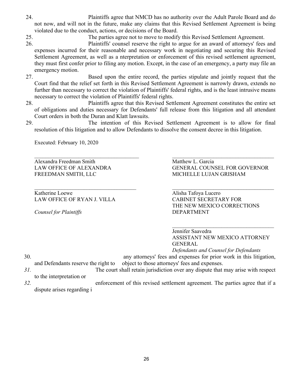- 24. Plaintiffs agree that NMCD has no authority over the Adult Parole Board and do not now, and will not in the future, make any claims that this Revised Settlement Agreement is being violated due to the conduct, actions, or decisions of the Board.
- 25. The parties agree not to move to modify this Revised Settlement Agreement.
- 26. Plaintiffs' counsel reserve the right to argue for an award of attorneys' fees and expenses incurred for their reasonable and necessary work in negotiating and securing this Revised Settlement Agreement, as well as a nterpretation or enforcement of this revised settlement agreement, they must first confer prior to filing any motion. Except, in the case of an emergency, a party may file an emergency motion.
- 27. Based upon the entire record, the parties stipulate and jointly request that the Court find that the relief set forth in this Revised Settlement Agreement is narrowly drawn, extends no further than necessary to correct the violation of Plaintiffs' federal rights, and is the least intrusive means necessary to correct the violation of Plaintiffs' federal rights.
- 28. Plaintiffs agree that this Revised Settlement Agreement constitutes the entire set of obligations and duties necessary for Defendants' full release from this litigation and all attendant Court orders in both the Duran and Klatt lawsuits.
- 29. The intention of this Revised Settlement Agreement is to allow for final resolution of this litigation and to allow Defendants to dissolve the consent decree in this litigation.

Executed: February 10, 2020

Alexandra Freedman Smith Matthew L. Garcia FREEDMAN SMITH, LLC MICHELLE LUJAN GRISHAM

Katherine Loewe **Alisha Tafoya Lucero** Alisha Tafoya Lucero LAW OFFICE OF RYAN J. VILLA CABINET SECRETARY FOR

*Counsel for Plaintiffs* DEPARTMENT

\_\_\_\_\_\_\_\_\_\_\_\_\_\_\_\_\_\_\_\_\_\_\_\_\_\_\_\_\_\_\_\_\_\_\_\_\_\_ \_\_\_\_\_\_\_\_\_\_\_\_\_\_\_\_\_\_\_\_\_\_\_\_\_\_\_\_\_\_\_\_\_\_\_\_\_ LAW OFFICE OF ALEXANDRA GENERAL COUNSEL FOR GOVERNOR

\_\_\_\_\_\_\_\_\_\_\_\_\_\_\_\_\_\_\_\_\_\_\_\_\_\_\_\_\_\_\_\_\_\_\_\_\_ \_\_\_\_\_\_\_\_\_\_\_\_\_\_\_\_\_\_\_\_\_\_\_\_\_\_\_\_\_\_\_\_\_\_\_\_\_ THE NEW MEXICO CORRECTIONS

> \_\_\_\_\_\_\_\_\_\_\_\_\_\_\_\_\_\_\_\_\_\_\_\_\_\_\_\_\_\_\_\_\_\_\_\_\_ Jennifer Saavedra ASSISTANT NEW MEXICO ATTORNEY GENERAL

*Defendants and Counsel for Defendants*

- 30. any attorneys' fees and expenses for prior work in this litigation, and Defendants reserve the right to object to those attorneys' fees and expenses.
- 
- *31.* The court shall retain jurisdiction over any dispute that may arise with respect to the interpretation or
- *32.* enforcement of this revised settlement agreement. The parties agree that if a dispute arises regarding i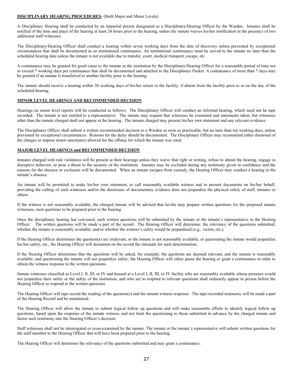#### **DISCIPLINARY HEARING PROCEDURES:** (Both Major and Minor Levels)

A Disciplinary Hearing shall be conducted by an impartial person designated as a Disciplinary/Hearing Officer by the Warden. Inmates shall be notified of the time and place of the hearing at least 24 hours prior to the hearing, unless the inmate waives his/her notification in the presence of two additional staff witnesses.

The Disciplinary/Hearing Officer shall conduct a hearing within seven working days from the date of discovery unless prevented by exceptional circumstances that shall be documented as an institutional continuance. An institutional continuance must be served to the inmate no later than the scheduled hearing date unless the inmate is not available due to transfer, court, medical transport, escape, etc.

A continuance may be granted for good cause to the inmate or the institution by the Disciplinary/Hearing Officer for a reasonable period of time not to exceed 7 working days per continuance that shall be documented and attached to the Disciplinary Packet. A continuance of more than 7 days may be granted if an inmate is transferred to another facility prior to the hearing.

The inmate should receive a hearing within 30 working days of his/her return to the facility, if absent from the facility prior to or on the day of the scheduled hearing.

#### **MINOR LEVEL HEARINGS AND RECOMMENDED DECISION**

Hearings on minor level reports will be conducted as follows: The Disciplinary Officer will conduct an informal hearing, which need not be tape recorded. The inmate is not entitled to a representative. The inmate may request that witnesses be examined and statements taken, but witnesses other than the inmate charged shall not appear at the hearing. The inmate charged may present his/her own statement and any relevant evidence.

The Disciplinary Officer shall submit a written recommended decision to a Warden as soon as practicable, but no later than ten working days, unless prevented by exceptional circumstances. Reasons for the delay should be documented. The Disciplinary Officer may recommend either dismissal of the charges or impose minor sanction(s) allowed for the offense for which the inmate was cited.

#### **MAJOR LEVEL HEARINGS and RECOMMENDED DECISION**

Inmates charged with rule violations will be present at their hearings unless they waive that right in writing, refuse to attend the hearing, engage in disruptive behavior, or pose a threat to the security of the institution. Inmates may be excluded during any testimony given in confidence and the reasons for the absence or exclusion will be documented. When an inmate escapes from custody, the Hearing Officer may conduct a hearing in the inmate's absence.

An inmate will be permitted to make his/her own statement, to call reasonably available witness and to present documents on his/her behalf, providing the calling of such witnesses and/or the disclosure of documentary evidence does not jeopardize the physical safety of staff, inmates or others.

If the witness is not reasonably available, the charged inmate will be advised that he/she may prepare written questions for the proposed inmate witnesses, such questions to be prepared prior to the hearing.

Once the disciplinary hearing has convened, such written questions will be submitted by the inmate or the inmate's representative to the Hearing Officer. The written questions will be made a part of the record. The Hearing Officer will determine: the relevancy of the questions submitted; whether the inmate is reasonably available; and/or whether the witness's safety would be jeopardized (e.g., victim, etc.).

If the Hearing Officer determines the question(s) are irrelevant, or the inmate is not reasonably available, or questioning the inmate would jeopardize his/her safety, etc., the Hearing Officer will document on the record the rationale for such determination.

If the Hearing Officer determines that the questions will be asked, for example; the questions are deemed relevant, and the inmate is reasonably available, and questioning the inmate will not jeopardize safety, the Hearing Officer will either pause the hearing or grant a continuance in order to obtain the witness response to the written questions.

Inmate witnesses classified as Level I, II, III, or IV and housed at a Level I, II, III, or IV facility who are reasonably available whose presence would not jeopardize their safety or the safety of the institution, and who are to respond to relevant questions shall ordinarily appear in person before the Hearing Officer to respond to the written questions.

The Hearing Officer will tape record the reading of the question(s) and the inmate witness response. The tape-recorded testimony will be made a part of the Hearing Record and be maintained.

The Hearing Officer will allow the inmate to submit logical follow up questions and will make reasonable efforts to identify logical follow up questions, based upon the response of the inmate witness, and not limit the questioning to those submitted in advance by the charged inmate and factor such testimony into the Hearing Officer's decision.

Staff witnesses shall not be interrogated or cross-examined by the inmate. The inmate or the inmate's representative will submit written questions for the staff member to the Hearing Officer that will have been prepared prior to the hearing.

The Hearing Officer will determine the relevancy of the questions submitted and may grant a continuance.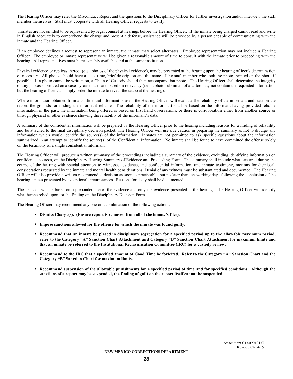The Hearing Officer may refer the Misconduct Report and the questions to the Disciplinary Officer for further investigation and/or interview the staff member themselves. Staff must cooperate with all Hearing Officer requests to testify.

Inmates are not entitled to be represented by legal counsel at hearings before the Hearing Officer. If the inmate being charged cannot read and write in English adequately to comprehend the charge and present a defense, assistance will be provided by a person capable of communicating with the inmate and the Hearing Officer.

If an employee declines a request to represent an inmate, the inmate may select alternates. Employee representation may not include a Hearing Officer. The employee or inmate representative will be given a reasonable amount of time to consult with the inmate prior to proceeding with the hearing. All representatives must be reasonably available and at the same institution.

Physical evidence or replicas thereof (e.g., photos of the physical evidence), may be presented at the hearing upon the hearing officer's determination of necessity. All photos should have a date, time, brief description and the name of the staff member who took the photo, printed on the photo if possible. If a photo cannot be written on, a Chain of Custody should then accompany that photo. The Hearing Officer shall determine the integrity of any photos submitted on a case-by-case basis and based on relevancy (i.e., a photo submitted of a tattoo may not contain the requested information but the hearing officer can simply order the inmate to reveal the tattoo at the hearing).

Where information obtained from a confidential informant is used, the Hearing Officer will evaluate the reliability of the informant and state on the record the grounds for finding the informant reliable. The reliability of the informant shall be based on the informant having provided reliable information in the past, the information being offered is based on first hand observations, or there is corroboration either from another source or through physical or other evidence showing the reliability of the informant's data.

A summary of the confidential information will be prepared by the Hearing Officer prior to the hearing including reasons for a finding of reliability and be attached to the final disciplinary decision packet. The Hearing Officer will use due caution in preparing the summary as not to divulge any information which would identify the source(s) of the information. Inmates are not permitted to ask specific questions about the information summarized in an attempt to identify the source(s) of the Confidential Information. No inmate shall be found to have committed the offense solely on the testimony of a single confidential informant.

The Hearing Officer will produce a written summary of the proceedings including a summary of the evidence, excluding identifying information on confidential sources, on the Disciplinary Hearing Summary of Evidence and Proceeding Form. The summary shall include what occurred during the course of the hearing with special attention to witnesses, evidence, and confidential information, and inmate testimony, motions for dismissal, considerations requested by the inmate and mental health considerations. Denial of any witness must be substantiated and documented. The Hearing Officer will also provide a written recommended decision as soon as practicable, but no later than ten working days following the conclusion of the hearing, unless prevented by exceptional circumstances. Reasons for delay shall be documented.

The decision will be based on a preponderance of the evidence and only the evidence presented at the hearing. The Hearing Officer will identify what he/she relied upon for the finding on the Disciplinary Decision Form.

The Hearing Officer may recommend any one or a combination of the following actions:

- **Dismiss Charge(s). (Ensure report is removed from all of the inmate's files).**
- **Impose sanctions allowed for the offense for which the inmate was found guilty.**
- **Recommend that an inmate be placed in disciplinary segregation for a specified period up to the allowable maximum period, refer to the Category "A" Sanction Chart Attachment and Category "B" Sanction Chart Attachment for maximum limits and that an inmate be referred to the Institutional Reclassification Committee (IRC) for a custody review.**
- **Recommend to the IRC that a specified amount of Good Time be forfeited. Refer to the Category "A" Sanction Chart and the Category "B" Sanction Chart for maximum limits.**
- **Recommend suspension of the allowable punishments for a specified period of time and for specified conditions. Although the sanctions of a report may be suspended, the finding of guilt on the report itself cannot be suspended.**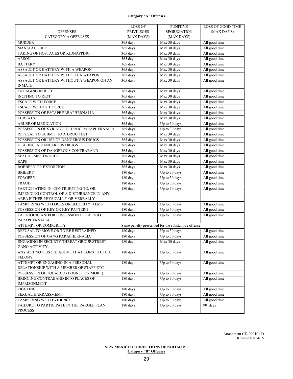## **Category "A" Offenses**

|                                             | LOSS OF           | <b>PUNITIVE</b>                                     | <b>LOSS OF GOOD TIME</b> |
|---------------------------------------------|-------------------|-----------------------------------------------------|--------------------------|
| <b>OFFENSES</b>                             | <b>PRIVILEGES</b> | <b>SEGREGATION</b>                                  | (MAX DAYS)               |
| <b>CATEGORY A OFFENSES</b>                  | (MAX DAYS)        | (MAX DAYS)                                          |                          |
| <b>MURDER</b>                               | 365 days          | Max 30 days                                         | All good time            |
| MANSLAUGHER                                 | 365 days          | Max 30 days                                         | All good time            |
| TAKING OF HOSTAGES OR KIDNAPPING            | 365 days          | Max 30 days                                         | All good time            |
| <b>ARSON</b>                                | 365 days          | Max 30 days                                         | All good time            |
| <b>BATTERY</b>                              | 365 days          | Max 30 days                                         | All good time            |
| ASSAULT OR BATTERY WITH A WEAPON            | 365 days          | Max 30 days                                         | All good time            |
| ASSAULT OR BATTERY WITHOUT A WEAPON         | 365 days          | Max 30 days                                         | All good time            |
| ASSAULT OR BATTERY WITHOUT A WEAPON ON AN   | 365 days          | Max 30 days                                         | All good time            |
| <b>INMATE</b>                               |                   |                                                     |                          |
| <b>ENGAGING IN RIOT</b>                     | 365 days          | Max 30 days                                         | All good time            |
| <b>INCITING TO RIOT</b>                     | 365 days          | Max 30 days                                         | All good time            |
| <b>ESCAPE WITH FORCE</b>                    | 365 days          | Max 30 days                                         | All good time            |
| <b>ESCAPE WITHOUT FORCE</b>                 | 365 days          | Max 30 days                                         | All good time            |
| POSSESSION OF ESCAPE PARAPHERNALIA          | 365 days          | $Max\ 30\ days$                                     | All good time            |
| <b>THREATS</b>                              | 365 days          | Max 30 days                                         | All good time            |
| <b>ABUSE OF MEDICATION</b>                  | 365 days          | Up to 30 days                                       | All good time            |
| POSSESSION OF SYRINGE OR DRUG PARAPHERNALIA | 365 days          | Up to 30 days                                       | All good time            |
| REFUSAL TO SUBMIT TO A DRUG TEST            | 365 days          | Max 30 days                                         | All good time            |
| POSSESSION OR USE OF DANGEROUS DRUGS        | 365 days          | Max 30 days                                         | All good time            |
| DEALING IN DANGEROUS DRUGS                  | 365 days          | Max 30 days                                         | All good time            |
| POSSESSION OF DANGEROUS CONTRABAND          | 365 days          | Max 30 days                                         | All good time            |
| SEXUAL MISCONDUCT                           | 365 days          | Max 30 days                                         | All good time            |
| <b>RAPE</b>                                 | 365 days          | Max 30 days                                         | All good time            |
| ROBBERY OR EXTORTION                        | 365 days          | Max 30 days                                         | All good time            |
| <b>BRIBERY</b>                              | 180 days          | Up to 30 days                                       | All good time            |
| <b>FORGERY</b>                              | 180 days          | Up to 30 days                                       | All good time            |
| <b>FRAUD</b>                                | 180 days          | Up to 30 days                                       | All good time            |
| PARTICIPATING IN, CONTRIBUTING TO, OR       | 180 days          | Up to 30 days                                       | All good time            |
| IMPENDING CONTROL OF A DISTURBANCE IN ANY   |                   |                                                     |                          |
| AREA EITHER PHYSICALLY OR VERBALLY          |                   |                                                     |                          |
| TAMPERING WITH LOCKS OR SECURITY ITEMS      | 180 days          | Up to 30 days                                       | All good time            |
| POSSESSION OF KEY OR KEY PATTERN            | 180 days          | Up to 30 days                                       | All good time            |
| TATTOOING AND/OR POSSESSION OF TATTOO       | 180 days          | Up to 30 days                                       | All good time            |
| PARAPHERNALIA                               |                   |                                                     |                          |
| ATTEMPT OR COMPLICITY                       |                   | Same penalty prescribed for the substantive offense |                          |
| REFUSAL TO MOVE OR TO BE RESTRAINED         | 180 days          | Up to 30 days                                       | All good time            |
| POSSESSION OF GANG PARAPHERNALIA            | 180 days          | Up to 30 days                                       | All good time            |
| ENGAGING IN SECURTY THREAT GROUP/STREET     | 180 days          | Max 30 days                                         | All good time            |
| <b>GANG ACTIVITY</b>                        |                   |                                                     |                          |
| ANY ACT NOT LISTED ABOVE THAT CONSTITUTE A  | 180 days          | Up to 30 days                                       | All good time            |
| <b>FELONY</b>                               |                   |                                                     |                          |
| ATTEMPT OR ENGAGING IN A PERSONAL           | 180 days          | Up to 30 days                                       | All good time            |
| RELATIONSHIP WITH A MEMBER OF STAFF ETC.    |                   |                                                     |                          |
| POSSESSION OF TOBACCO (1 OUNCE OR MORE)     | 180 days          | Up to 30 days                                       | All good time            |
| BRINGING CONTRABAND INTO PLACES OF          | 180 days          | Up to 30 days                                       | All good time            |
| <b>IMPRISONMENT</b>                         |                   |                                                     |                          |
| <b>FIGHTING</b>                             | 180 days          | Up to 30 days                                       | All good time            |
| SEXUAL HARRASSMENT                          | 180 days          | Up to 30 days                                       | All good time            |
| TAMPERING WITH EVIDENCE                     | 180 days          | Up to 30 days                                       | All good time            |
| FAILURE TO PARTICIPATE IN THE PAROLE PLAN   | 180 days          | Up to 30 days                                       | 90 days                  |
| <b>PROCESS</b>                              |                   |                                                     |                          |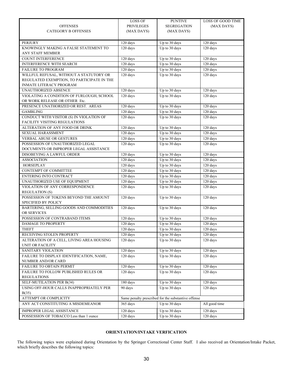|                                            | LOSS OF                      | <b>PUNTIVE</b>                                      | <b>LOSS OF GOOD TIME</b> |
|--------------------------------------------|------------------------------|-----------------------------------------------------|--------------------------|
| <b>OFFENSES</b>                            | <b>PRIVILEGES</b>            | <b>SEGREGATION</b>                                  | (MAX DAYS)               |
| <b>CATEGORY B OFFENSES</b>                 | (MAX DAYS)                   | (MAX DAYS)                                          |                          |
|                                            |                              |                                                     |                          |
| <b>PERJURY</b>                             | 120 days                     | Up to 30 days                                       | 120 days                 |
| KNOWINGLY MAKING A FALSE STATEMENT TO      | 120 days                     | Up to 30 days                                       | 120 days                 |
| ANY STAFF MEMBER                           |                              |                                                     |                          |
| <b>COUNT INTERFERENCE</b>                  | 120 days                     | Up to 30 days                                       | 120 days                 |
| <b>INTERFERENCE WITH SEARCH</b>            | 120 days                     | Up to 30 days                                       | 120 days                 |
| FAILURE TO PROGRAM                         | 120 days                     | Up to 30 days                                       | 120 days                 |
| WILLFUL REFUSAL, WITHOUT A STATUTORY OR    | 120 days                     | Up to 30 days                                       | 120 days                 |
| REGULATED EXEMPTION, TO PARTICIPATE IN THE |                              |                                                     |                          |
| <b>INMATE LITERACY PROGRAM</b>             |                              |                                                     |                          |
| UNAUTHORIZED ABSENCE                       | 120 days                     | Up to 30 days                                       | 120 days                 |
| VIOLATING A CONDITION OF FURLOUGH, SCHOOL  | 120 days                     | Up to 30 days                                       | 120 days                 |
| OR WORK RELEASE OR OTHER Etc.              |                              |                                                     |                          |
| PRESENCE UNATHORIZED OR REST. AREAS        | 120 days                     | Up to 30 days                                       | 120 days                 |
| <b>GAMBLING</b>                            | 120 days                     | Up to 30 days                                       | 120 days                 |
| CONDUCT WITH VISITOR (S) IN VIOLATION OF   | 120 days                     | Up to 30 days                                       | 120 days                 |
| FACILITY VISITING REGULATIONS              |                              |                                                     |                          |
| ALTERATION OF ANY FOOD OR DRINK            | 120 days                     | Up to 30 days                                       | 120 days                 |
| <b>SEXUAL HARASSMENT</b>                   | 120 days                     | Up to 30 days                                       | 120 days                 |
| <b>VERBAL ABUSE OR GESTURES</b>            | 120 days                     | Up to 30 days                                       | 120 days                 |
| POSSESSION OF UNAUTHORIZED LEGAL           | 120 days                     | Up to 30 days                                       | 120 days                 |
| DOCUMENTS OR IMPROPER LEGAL ASSISTANCE     |                              |                                                     |                          |
| DISOBEYING A LAWFUL ORDER                  | 120 days                     | Up to 30 days                                       | 120 days                 |
| <b>ASSOCIATION</b>                         | 120 days                     | Up to 30 days                                       | 120 days                 |
| <b>HORSEPLAY</b>                           | 120 days                     | Up to 30 days                                       | 120 days                 |
| CONTEMPT OF COMMITTEE                      | 120 days                     | Up to 30 days                                       | 120 days                 |
| ENTERING INTO CONTRACT                     | 120 days                     | Up to 30 days                                       | 120 days                 |
| UNAUTHORIZED USE OF EQUIPMENT              | 120 days                     | Up to 30 days                                       | 120 days                 |
| VIOLATION OF ANY CORRESPONDENCE            | 120 days                     | Up to 30 days                                       | $120 \text{ days}$       |
| <b>REGULATION (S)</b>                      |                              |                                                     |                          |
| POSSESSION OF TOKENS BEYOND THE AMOUNT     | $120~{\rm days}$             | Up to 30 days                                       | 120 days                 |
| <b>SPECIFIED BY POLICY</b>                 |                              |                                                     |                          |
| BARTERING, SELLING GOODS AND COMMODITIES   | 120 days                     | Up to 30 days                                       | 120 days                 |
| OR SERVICES                                |                              |                                                     |                          |
| POSSESSION OF CONTRABAND ITEMS             | 120 days                     | Up to 30 days                                       | 120 days                 |
| DAMAGE TO PROPERTY                         | 120 days                     | Up to 30 days                                       | 120 days                 |
| <b>THEFT</b>                               | 120 days                     | Up to 30 days                                       | 120 days                 |
| RECEIVING STOLEN PROPERTY                  | 120 days                     | Up to 30 days                                       | 120 days                 |
| ALTERATION OF A CELL, LIVING AREA HOUSING  | 120 days                     | Up to 30 days                                       | 120 days                 |
| <b>UNIT OR FACILITY</b>                    |                              |                                                     |                          |
| SANITARY VIOLATION                         | 120 days                     | Up to 30 days                                       | 120 days                 |
| FAILURE TO DISPLAY IDENTIFICATION, NAME,   | 120 days                     | Up to 30 days                                       | 120 days                 |
| NUMBER AND/OR CARD                         |                              |                                                     |                          |
| FAILURE TO OBTAIN PERMIT                   | 120 days                     | Up to 30 days                                       | 120 days                 |
| FAILURE TO FOLLOW PUBLISHED RULES OR       | $120 \text{ days}$           | Up to 30 days                                       | 120 days                 |
| <b>REGULATIONS</b>                         |                              |                                                     |                          |
| SELF-MUTILATION PER B(34)                  | $180 \overline{\text{days}}$ | Up to 30 days                                       | 120 days                 |
| USING OFF-HOUR CALLS INAPPROPRIATELY PER   | 90 days                      | Up to 30 days                                       | 120 days                 |
| B(35)                                      |                              |                                                     |                          |
| ATTEMPT OR COMPLICITY                      |                              | Same penalty prescribed for the substantive offense |                          |
| ANY ACT CONSTITUTING A MISDEMEANOR         | 365 days                     | Up to 30 days                                       | All good time            |
| IMPROPER LEGAL ASSISTANCE                  | 120 days                     | Up to 30 days                                       | 120 days                 |
| POSSESSION OF TOBACCO Less than 1 ounce    | 120 days                     | Up to 30 days                                       | 120 days                 |
|                                            |                              |                                                     |                          |

## **ORIENTATION/INTAKE VERFICATION**

The following topics were explained during Orientation by the Springer Correctional Center Staff. I also received an Orientation/Intake Packet, which briefly describes the following topics: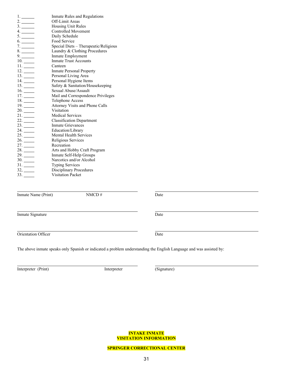| 1.                       | Inmate Rules and Regulations          |
|--------------------------|---------------------------------------|
|                          | <b>Off-Limit Areas</b>                |
| 3.                       | Housing Unit Rules                    |
|                          | <b>Controlled Movement</b>            |
|                          | Daily Schedule                        |
| 6.                       | Food Service                          |
|                          | Special Diets - Therapeutic/Religious |
| 8.                       | Laundry & Clothing Procedures         |
|                          | Inmate Employment                     |
| 10.                      | <b>Inmate Trust Accounts</b>          |
|                          | Canteen                               |
| 12.                      | <b>Inmate Personal Property</b>       |
| 13.                      | Personal Living Area                  |
| 14.                      | Personal Hygiene Items                |
| 15.                      | Safety & Sanitation/Housekeeping      |
| 16.                      | Sexual Abuse/Assault                  |
| 17.                      | Mail and Correspondence Privileges    |
|                          | Telephone Access                      |
| 19.                      | Attorney Visits and Phone Calls       |
|                          | <b>Visitation</b>                     |
|                          | <b>Medical Services</b>               |
|                          | <b>Classification Department</b>      |
| 23.                      | <b>Inmate Grievances</b>              |
|                          | Education/Library                     |
|                          | <b>Mental Health Services</b>         |
| $26.$ ——                 | Religious Services                    |
|                          | Recreation                            |
|                          | Arts and Hobby Craft Program          |
| 29.                      | Inmate Self-Help Groups               |
| 30.                      | Narcotics and/or Alcohol              |
| 31.                      | <b>Typing Services</b>                |
| $32, \underline{\qquad}$ | Disciplinary Procedures               |
| 33.                      | <b>Visitation Packet</b>              |
|                          |                                       |

Inmate Name (Print) NMCD # Date

Inmate Signature Date

Orientation Officer Date

The above inmate speaks only Spanish or indicated a problem understanding the English Language and was assisted by:

Interpreter (Print) Interpreter (Signature)

**INTAKE INMATE VISITATION INFORMATION**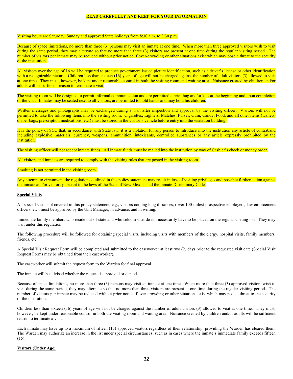#### **READ CAREFULLY AND KEEP FOR YOUR INFORMATION**

#### Visiting hours are Saturday, Sunday and approved State holidays from 8:30 a.m. to 3:30 p.m.

Because of space limitations, no more than three (3) persons may visit an inmate at one time. When more than three approved visitors wish to visit during the same period, they may alternate so that no more than three (3) visitors are present at one time during the regular visiting period. The number of visitors per inmate may be reduced without prior notice if over-crowding or other situations exist which may pose a threat to the security of the institution.

All visitors over the age of 16 will be required to produce government issued picture identification, such as a driver's license or other identification with a recognizable picture. Children less than sixteen (16) years of age will not be charged against the number of adult visitors (3) allowed to visit at one time. They must, however, be kept under reasonable control in both the visiting room and waiting area. Nuisance created by children and/or adults will be sufficient reason to terminate a visit.

The visiting room will be designed to permit informal communication and are permitted a brief hug and/or kiss at the beginning and upon completion of the visit. Inmates may be seated next to all visitors, are permitted to hold hands and may hold his children.

Written messages and photographs may be exchanged during a visit after inspection and approval by the visiting officer. Visitors will not be permitted to take the following items into the visiting room: Cigarettes, Lighters, Matches, Purses, Gum, Candy, Food, and all other items (wallets, diaper bags, prescription medications, etc.) must be stored in the visitor's vehicle before entry into the visitation building.

It is the policy of SCC that, in accordance with State law, it is a violation for any person to introduce into the institution any article of contraband including explosive materials, currency, weapons, ammunition, intoxicants, controlled substances or any article expressly prohibited by the institution.

The visiting officer will not accept inmate funds. All inmate funds must be mailed into the institution by way of Cashier's check or money order.

All visitors and inmates are required to comply with the visiting rules that are posted in the visiting room.

#### Smoking is not permitted in the visiting room.

Any attempt to circumvent the regulations outlined in this policy statement may result in loss of visiting privileges and possible further action against the inmate and/or visitors pursuant to the laws of the State of New Mexico and the Inmate Disciplinary Code.

#### **Special Visits**

All special visits not covered in this policy statement, e.g., visitors coming long distances, (over 100-miles) prospective employers, law enforcement officers. etc., must be approved by the Unit Manager, in advance, and in writing.

Immediate family members who reside out-of-state and who seldom visit do not necessarily have to be placed on the regular visiting list. They may visit under this regulation.

The following procedure will be followed for obtaining special visits, including visits with members of the clergy, hospital visits, family members, friends, etc.

A Special Visit Request Form will be completed and submitted to the caseworker at least two (2) days prior to the requested visit date (Special Visit Request Forms may be obtained from their caseworker).

The caseworker will submit the request form to the Warden for final approval.

The inmate will be advised whether the request is approved or denied.

Because of space limitations, no more than three (3) persons may visit an inmate at one time. When more than three (3) approved visitors wish to visit during the same period, they may alternate so that no more than three visitors are present at one time during the regular visiting period. The number of visitors per inmate may be reduced without prior notice if over-crowding or other situations exist which may pose a threat to the security of the institution.

Children less than sixteen (16) years of age will not be charged against the number of adult visitors (3) allowed to visit at one time. They must, however, be kept under reasonable control in both the visiting room and waiting area. Nuisance created by children and/or adults will be sufficient reason to terminate a visit.

Each inmate may have up to a maximum of fifteen (15) approved visitors regardless of their relationship, providing the Warden has cleared them. The Warden may authorize an increase in the list under special circumstances, such as in cases where the inmate's immediate family exceeds fifteen  $(15)$ .

#### **Visitors (Under Age)**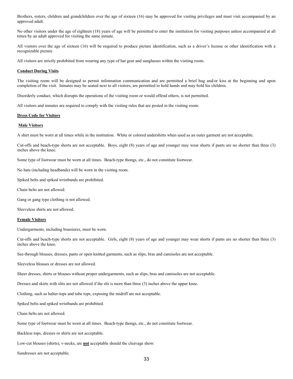Brothers, sisters, children and grandchildren over the age of sixteen (16) may be approved for visiting privileges and must visit accompanied by an approved adult.

No other visitors under the age of eighteen (18) years of age will be permitted to enter the institution for visiting purposes unless accompanied at all times by an adult approved for visiting the same inmate.

All visitors over the age of sixteen (16) will be required to produce picture identification, such as a driver's license or other identification with a recognizable picture.

All visitors are strictly prohibited from wearing any type of hat gear and sunglasses within the visiting room.

#### **Conduct During Visits**

The visiting room will be designed to permit information communication and are permitted a brief hug and/or kiss at the beginning and upon completion of the visit. Inmates may be seated next to all visitors, are permitted to hold hands and may hold his children.

Disorderly conduct, which disrupts the operations of the visiting room or would offend others, is not permitted.

All visitors and inmates are required to comply with the visiting rules that are posted in the visiting room:

#### **Dress Code for Visitors**

#### **Male Visitors**

A shirt must be worn at all times while in the institution. White or colored undershirts when used as an outer garment are not acceptable.

Cut-offs and beach-type shorts are not acceptable. Boys, eight (8) years of age and younger may wear shorts if pants are no shorter than three (3) inches above the knee.

Some type of footwear must be worn at all times. Beach-type thongs, etc., do not constitute footwear.

No hats (including headbands) will be worn in the visiting room.

Spiked belts and spiked wristbands are prohibited.

Chain belts are not allowed.

Gang or gang type clothing is not allowed.

Sleeveless shirts are not allowed.

#### **Female Visitors**

Undergarments, including brassieres, must be worn.

Cut-offs and beach-type shorts are not acceptable. Girls, eight (8) years of age and younger may wear shorts if pants are no shorter than three (3) inches above the knee.

See-through blouses, dresses, pants or open knitted garments, such as slips, bras and camisoles are not acceptable.

Sleeveless blouses or dresses are not allowed.

Sheer dresses, shirts or blouses without proper undergarments, such as slips, bras and camisoles are not acceptable.

Dresses and skirts with slits are not allowed if the slit is more than three (3) inches above the upper knee.

Clothing, such as halter-tops and tube tops, exposing the midriff are not acceptable.

Spiked belts and spiked wristbands are prohibited.

Chain belts are not allowed.

Some type of footwear must be worn at all times. Beach-type thongs, etc., do not constitute footwear.

Backless tops, dresses or shirts are not acceptable.

Low-cut blouses (shirts), v-necks, are **not** acceptable should the cleavage show.

Sundresses are not acceptable.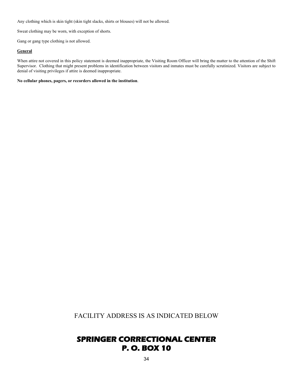Any clothing which is skin tight (skin tight slacks, shirts or blouses) will not be allowed.

Sweat clothing may be worn, with exception of shorts.

Gang or gang type clothing is not allowed.

#### **General**

When attire not covered in this policy statement is deemed inappropriate, the Visiting Room Officer will bring the matter to the attention of the Shift Supervisor. Clothing that might present problems in identification between visitors and inmates must be carefully scrutinized. Visitors are subject to denial of visiting privileges if attire is deemed inappropriate.

**No cellular phones, pagers, or recorders allowed in the institution**.

FACILITY ADDRESS IS AS INDICATED BELOW

## **SPRINGER CORRECTIONAL CENTER P. O. BOX 10**